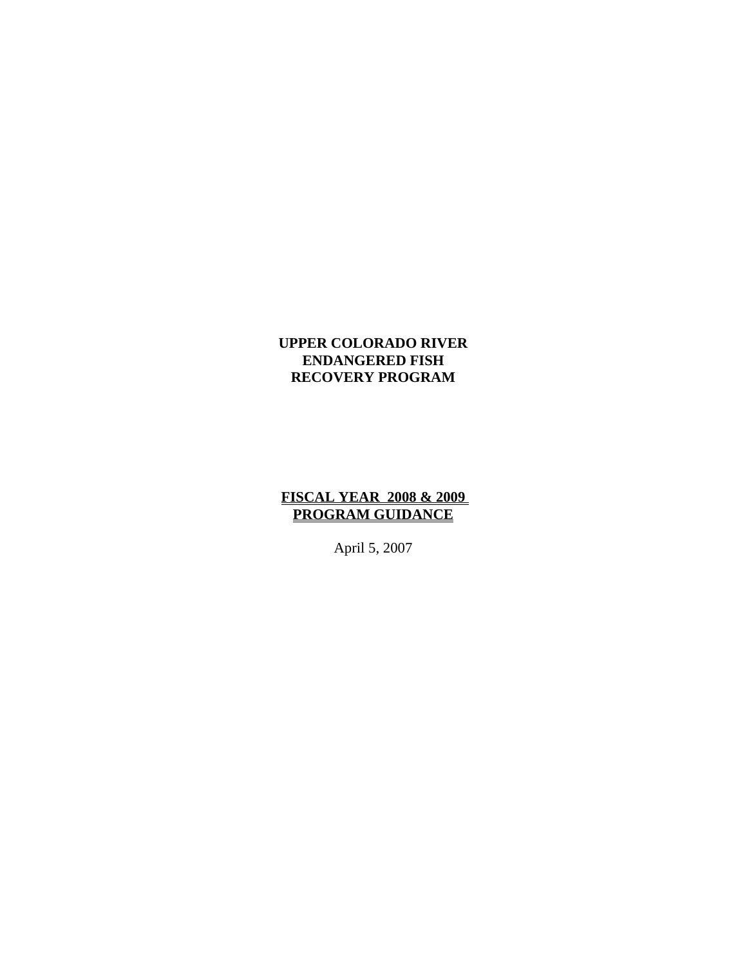#### **UPPER COLORADO RIVER ENDANGERED FISH RECOVERY PROGRAM**

#### **FISCAL YEAR 2008 & 2009 PROGRAM GUIDANCE**

April 5, 2007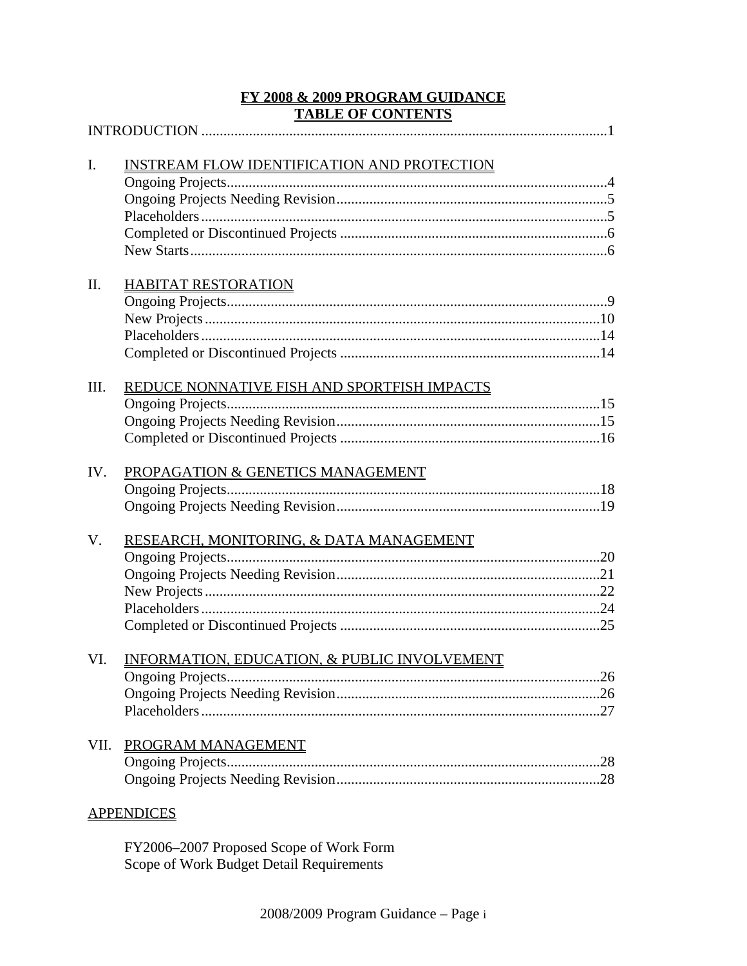# FY 2008 & 2009 PROGRAM GUIDANCE **TABLE OF CONTENTS**

| I.   | INSTREAM FLOW IDENTIFICATION AND PROTECTION  |  |
|------|----------------------------------------------|--|
|      |                                              |  |
|      |                                              |  |
|      |                                              |  |
|      |                                              |  |
|      |                                              |  |
|      |                                              |  |
| II.  | <b>HABITAT RESTORATION</b>                   |  |
|      |                                              |  |
|      |                                              |  |
|      |                                              |  |
|      |                                              |  |
|      |                                              |  |
| III. | REDUCE NONNATIVE FISH AND SPORTFISH IMPACTS  |  |
|      |                                              |  |
|      |                                              |  |
|      |                                              |  |
| IV.  | PROPAGATION & GENETICS MANAGEMENT            |  |
|      |                                              |  |
|      |                                              |  |
|      |                                              |  |
| V.   | RESEARCH, MONITORING, & DATA MANAGEMENT      |  |
|      |                                              |  |
|      |                                              |  |
|      |                                              |  |
|      |                                              |  |
|      |                                              |  |
| VI.  | INFORMATION, EDUCATION, & PUBLIC INVOLVEMENT |  |
|      |                                              |  |
|      |                                              |  |
|      |                                              |  |
|      |                                              |  |
| VII. | PROGRAM MANAGEMENT                           |  |
|      |                                              |  |
|      |                                              |  |
|      | <b>APPENDICES</b>                            |  |
|      |                                              |  |

FY2006-2007 Proposed Scope of Work Form Scope of Work Budget Detail Requirements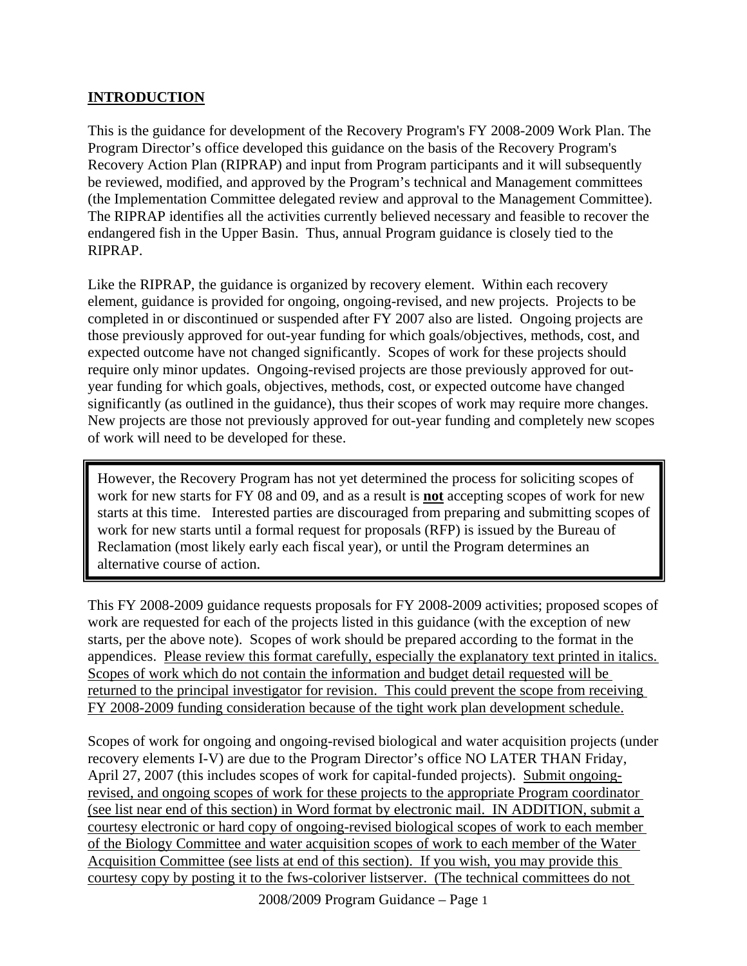#### **INTRODUCTION**

This is the guidance for development of the Recovery Program's FY 2008-2009 Work Plan. The Program Director's office developed this guidance on the basis of the Recovery Program's Recovery Action Plan (RIPRAP) and input from Program participants and it will subsequently be reviewed, modified, and approved by the Program's technical and Management committees (the Implementation Committee delegated review and approval to the Management Committee). The RIPRAP identifies all the activities currently believed necessary and feasible to recover the endangered fish in the Upper Basin. Thus, annual Program guidance is closely tied to the RIPRAP.

Like the RIPRAP, the guidance is organized by recovery element. Within each recovery element, guidance is provided for ongoing, ongoing-revised, and new projects. Projects to be completed in or discontinued or suspended after FY 2007 also are listed. Ongoing projects are those previously approved for out-year funding for which goals/objectives, methods, cost, and expected outcome have not changed significantly. Scopes of work for these projects should require only minor updates. Ongoing-revised projects are those previously approved for outyear funding for which goals, objectives, methods, cost, or expected outcome have changed significantly (as outlined in the guidance), thus their scopes of work may require more changes. New projects are those not previously approved for out-year funding and completely new scopes of work will need to be developed for these.

However, the Recovery Program has not yet determined the process for soliciting scopes of work for new starts for FY 08 and 09, and as a result is **not** accepting scopes of work for new starts at this time. Interested parties are discouraged from preparing and submitting scopes of work for new starts until a formal request for proposals (RFP) is issued by the Bureau of Reclamation (most likely early each fiscal year), or until the Program determines an alternative course of action.

This FY 2008-2009 guidance requests proposals for FY 2008-2009 activities; proposed scopes of work are requested for each of the projects listed in this guidance (with the exception of new starts, per the above note). Scopes of work should be prepared according to the format in the appendices. Please review this format carefully, especially the explanatory text printed in italics. Scopes of work which do not contain the information and budget detail requested will be returned to the principal investigator for revision. This could prevent the scope from receiving FY 2008-2009 funding consideration because of the tight work plan development schedule.

Scopes of work for ongoing and ongoing-revised biological and water acquisition projects (under recovery elements I-V) are due to the Program Director's office NO LATER THAN Friday, April 27, 2007 (this includes scopes of work for capital-funded projects). Submit ongoingrevised, and ongoing scopes of work for these projects to the appropriate Program coordinator (see list near end of this section) in Word format by electronic mail. IN ADDITION, submit a courtesy electronic or hard copy of ongoing-revised biological scopes of work to each member of the Biology Committee and water acquisition scopes of work to each member of the Water Acquisition Committee (see lists at end of this section). If you wish, you may provide this courtesy copy by posting it to the fws-coloriver listserver. (The technical committees do not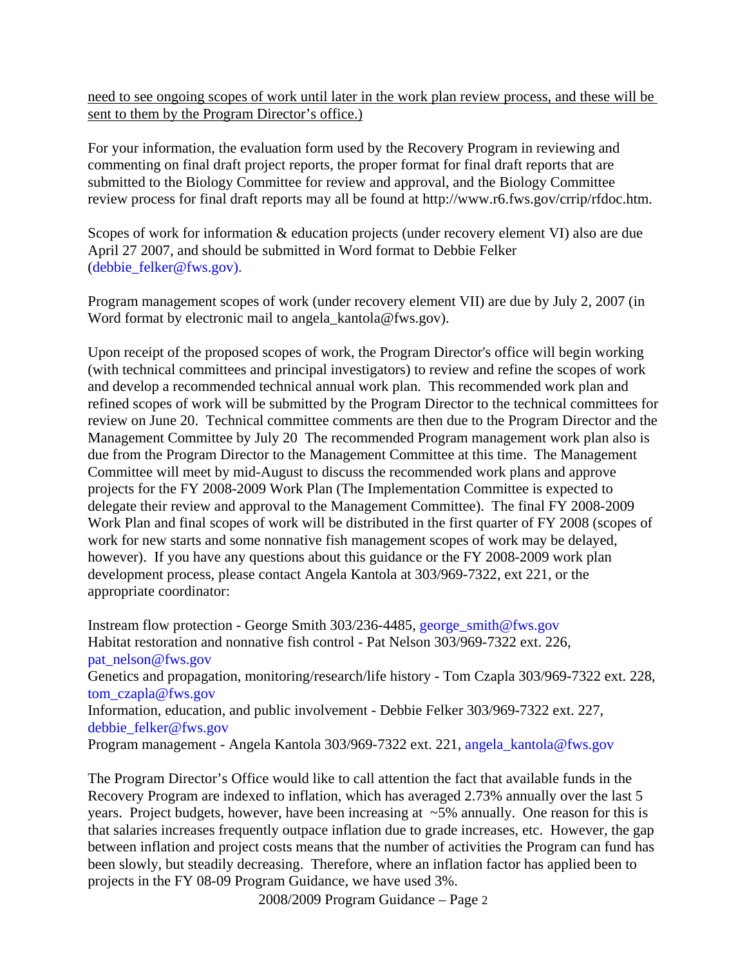need to see ongoing scopes of work until later in the work plan review process, and these will be sent to them by the Program Director's office.)

For your information, the evaluation form used by the Recovery Program in reviewing and commenting on final draft project reports, the proper format for final draft reports that are submitted to the Biology Committee for review and approval, and the Biology Committee review process for final draft reports may all be found at http://www.r6.fws.gov/crrip/rfdoc.htm.

Scopes of work for information & education projects (under recovery element VI) also are due April 27 2007, and should be submitted in Word format to Debbie Felker (debbie\_felker@fws.gov).

Program management scopes of work (under recovery element VII) are due by July 2, 2007 (in Word format by electronic mail to angela kantola@fws.gov).

Upon receipt of the proposed scopes of work, the Program Director's office will begin working (with technical committees and principal investigators) to review and refine the scopes of work and develop a recommended technical annual work plan. This recommended work plan and refined scopes of work will be submitted by the Program Director to the technical committees for review on June 20. Technical committee comments are then due to the Program Director and the Management Committee by July 20 The recommended Program management work plan also is due from the Program Director to the Management Committee at this time. The Management Committee will meet by mid-August to discuss the recommended work plans and approve projects for the FY 2008-2009 Work Plan (The Implementation Committee is expected to delegate their review and approval to the Management Committee). The final FY 2008-2009 Work Plan and final scopes of work will be distributed in the first quarter of FY 2008 (scopes of work for new starts and some nonnative fish management scopes of work may be delayed, however). If you have any questions about this guidance or the FY 2008-2009 work plan development process, please contact Angela Kantola at 303/969-7322, ext 221, or the appropriate coordinator:

Instream flow protection - George Smith 303/236-4485, george\_smith@fws.gov Habitat restoration and nonnative fish control - Pat Nelson 303/969-7322 ext. 226, pat\_nelson@fws.gov Genetics and propagation, monitoring/research/life history - Tom Czapla 303/969-7322 ext. 228, tom\_czapla@fws.gov Information, education, and public involvement - Debbie Felker 303/969-7322 ext. 227, debbie\_felker@fws.gov Program management - Angela Kantola 303/969-7322 ext. 221, angela\_kantola@fws.gov

The Program Director's Office would like to call attention the fact that available funds in the Recovery Program are indexed to inflation, which has averaged 2.73% annually over the last 5 years. Project budgets, however, have been increasing at ~5% annually. One reason for this is that salaries increases frequently outpace inflation due to grade increases, etc. However, the gap between inflation and project costs means that the number of activities the Program can fund has been slowly, but steadily decreasing. Therefore, where an inflation factor has applied been to projects in the FY 08-09 Program Guidance, we have used 3%.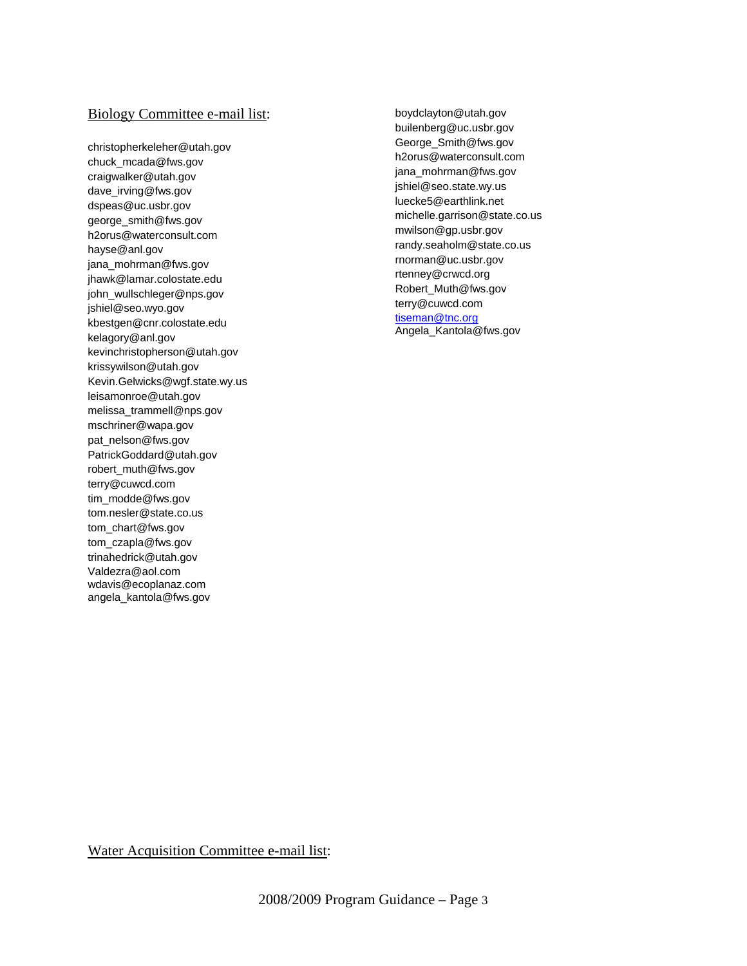#### Biology Committee e-mail list:

christopherkeleher@utah.gov chuck\_mcada@fws.gov craigwalker@utah.gov dave\_irving@fws.gov dspeas@uc.usbr.gov george\_smith@fws.gov h2orus@waterconsult.com hayse@anl.gov jana\_mohrman@fws.gov jhawk@lamar.colostate.edu john\_wullschleger@nps.gov jshiel@seo.wyo.gov kbestgen@cnr.colostate.edu kelagory@anl.gov kevinchristopherson@utah.gov krissywilson@utah.gov Kevin.Gelwicks@wgf.state.wy.us leisamonroe@utah.gov melissa\_trammell@nps.gov mschriner@wapa.gov pat\_nelson@fws.gov PatrickGoddard@utah.gov robert\_muth@fws.gov terry@cuwcd.com tim\_modde@fws.gov tom.nesler@state.co.us tom\_chart@fws.gov tom\_czapla@fws.gov trinahedrick@utah.gov Valdezra@aol.com wdavis@ecoplanaz.com angela\_kantola@fws.gov

boydclayton@utah.gov builenberg@uc.usbr.gov George\_Smith@fws.gov h2orus@waterconsult.com jana\_mohrman@fws.gov jshiel@seo.state.wy.us luecke5@earthlink.net michelle.garrison@state.co.us mwilson@gp.usbr.gov randy.seaholm@state.co.us rnorman@uc.usbr.gov rtenney@crwcd.org Robert\_Muth@fws.gov terry@cuwcd.com tiseman@tnc.org Angela\_Kantola@fws.gov

Water Acquisition Committee e-mail list: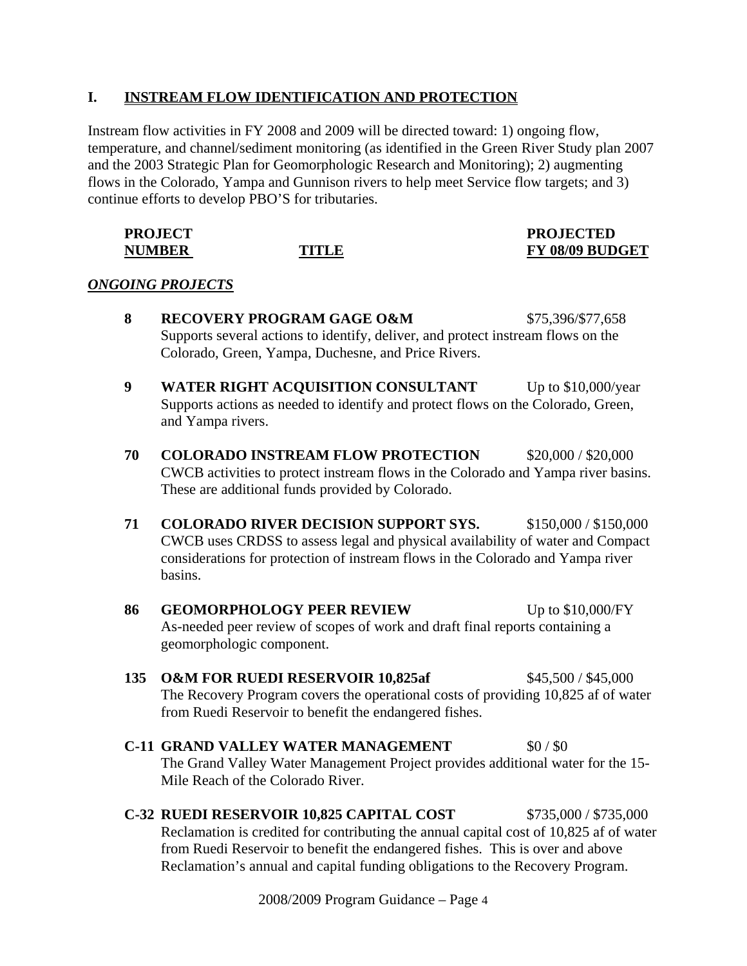#### **I. INSTREAM FLOW IDENTIFICATION AND PROTECTION**

Instream flow activities in FY 2008 and 2009 will be directed toward: 1) ongoing flow, temperature, and channel/sediment monitoring (as identified in the Green River Study plan 2007 and the 2003 Strategic Plan for Geomorphologic Research and Monitoring); 2) augmenting flows in the Colorado, Yampa and Gunnison rivers to help meet Service flow targets; and 3) continue efforts to develop PBO'S for tributaries.

| <b>PROJECT</b> |       | <b>PROJECTED</b>       |
|----------------|-------|------------------------|
| <b>NUMBER</b>  | TITLE | <b>FY 08/09 BUDGET</b> |

#### *ONGOING PROJECTS*

- **8 RECOVERY PROGRAM GAGE O&M** \$75,396/\$77,658 Supports several actions to identify, deliver, and protect instream flows on the Colorado, Green, Yampa, Duchesne, and Price Rivers. **9 WATER RIGHT ACQUISITION CONSULTANT** Up to \$10,000/year Supports actions as needed to identify and protect flows on the Colorado, Green, and Yampa rivers. **70 COLORADO INSTREAM FLOW PROTECTION** \$20,000 / \$20,000 CWCB activities to protect instream flows in the Colorado and Yampa river basins. These are additional funds provided by Colorado. 71 COLORADO RIVER DECISION SUPPORT SYS. \$150,000 / \$150,000 CWCB uses CRDSS to assess legal and physical availability of water and Compact considerations for protection of instream flows in the Colorado and Yampa river basins. **86 GEOMORPHOLOGY PEER REVIEW** Up to \$10,000/FY
	- As-needed peer review of scopes of work and draft final reports containing a geomorphologic component.
- **135 O&M FOR RUEDI RESERVOIR 10,825af** \$45,500 / \$45,000 The Recovery Program covers the operational costs of providing 10,825 af of water from Ruedi Reservoir to benefit the endangered fishes.
- **C-11 GRAND VALLEY WATER MANAGEMENT** \$0/\$0 The Grand Valley Water Management Project provides additional water for the 15- Mile Reach of the Colorado River.
- **C-32 RUEDI RESERVOIR 10,825 CAPITAL COST** \$735,000 / \$735,000 Reclamation is credited for contributing the annual capital cost of 10,825 af of water from Ruedi Reservoir to benefit the endangered fishes. This is over and above Reclamation's annual and capital funding obligations to the Recovery Program.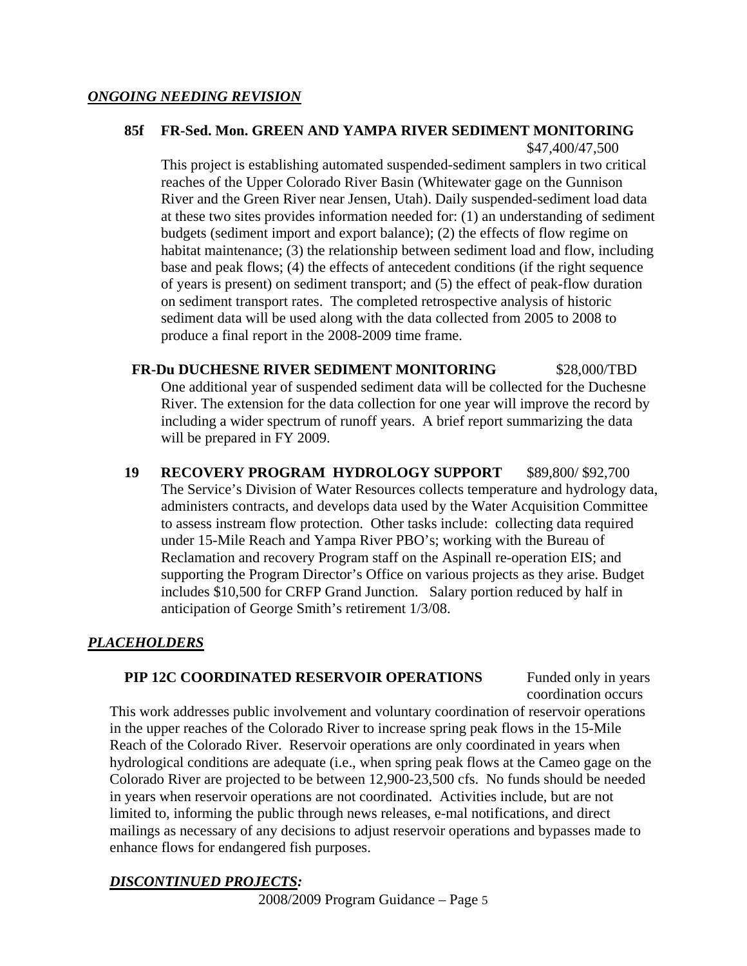#### **85f FR-Sed. Mon. GREEN AND YAMPA RIVER SEDIMENT MONITORING** \$47,400/47,500

This project is establishing automated suspended-sediment samplers in two critical reaches of the Upper Colorado River Basin (Whitewater gage on the Gunnison River and the Green River near Jensen, Utah). Daily suspended-sediment load data at these two sites provides information needed for: (1) an understanding of sediment budgets (sediment import and export balance); (2) the effects of flow regime on habitat maintenance; (3) the relationship between sediment load and flow, including base and peak flows; (4) the effects of antecedent conditions (if the right sequence of years is present) on sediment transport; and (5) the effect of peak-flow duration on sediment transport rates. The completed retrospective analysis of historic sediment data will be used along with the data collected from 2005 to 2008 to produce a final report in the 2008-2009 time frame.

#### **FR-Du DUCHESNE RIVER SEDIMENT MONITORING** \$28,000/TBD One additional year of suspended sediment data will be collected for the Duchesne River. The extension for the data collection for one year will improve the record by including a wider spectrum of runoff years. A brief report summarizing the data will be prepared in FY 2009.

**19 RECOVERY PROGRAM HYDROLOGY SUPPORT** \$89,800/ \$92,700 The Service's Division of Water Resources collects temperature and hydrology data, administers contracts, and develops data used by the Water Acquisition Committee to assess instream flow protection. Other tasks include: collecting data required under 15-Mile Reach and Yampa River PBO's; working with the Bureau of Reclamation and recovery Program staff on the Aspinall re-operation EIS; and supporting the Program Director's Office on various projects as they arise. Budget includes \$10,500 for CRFP Grand Junction. Salary portion reduced by half in anticipation of George Smith's retirement 1/3/08.

#### *PLACEHOLDERS*

#### **PIP 12C COORDINATED RESERVOIR OPERATIONS** Funded only in years

coordination occurs

This work addresses public involvement and voluntary coordination of reservoir operations in the upper reaches of the Colorado River to increase spring peak flows in the 15-Mile Reach of the Colorado River. Reservoir operations are only coordinated in years when hydrological conditions are adequate (i.e., when spring peak flows at the Cameo gage on the Colorado River are projected to be between 12,900-23,500 cfs. No funds should be needed in years when reservoir operations are not coordinated. Activities include, but are not limited to, informing the public through news releases, e-mal notifications, and direct mailings as necessary of any decisions to adjust reservoir operations and bypasses made to enhance flows for endangered fish purposes.

#### *DISCONTINUED PROJECTS:*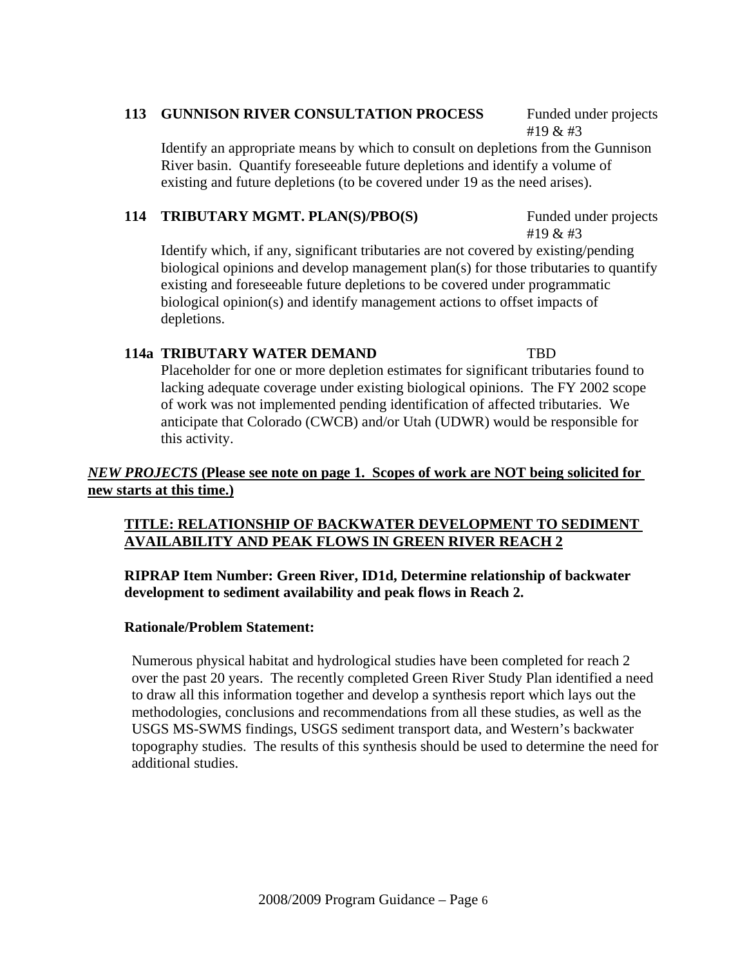#### 113 GUNNISON RIVER CONSULTATION PROCESS Funded under projects

#19 & #3

#19 & #3

Identify an appropriate means by which to consult on depletions from the Gunnison River basin. Quantify foreseeable future depletions and identify a volume of existing and future depletions (to be covered under 19 as the need arises).

#### **114 TRIBUTARY MGMT. PLAN(S)/PBO(S)** Funded under projects

Identify which, if any, significant tributaries are not covered by existing/pending biological opinions and develop management plan(s) for those tributaries to quantify existing and foreseeable future depletions to be covered under programmatic biological opinion(s) and identify management actions to offset impacts of depletions.

#### **114a TRIBUTARY WATER DEMAND TBD**

Placeholder for one or more depletion estimates for significant tributaries found to lacking adequate coverage under existing biological opinions. The FY 2002 scope of work was not implemented pending identification of affected tributaries. We anticipate that Colorado (CWCB) and/or Utah (UDWR) would be responsible for this activity.

#### *NEW PROJECTS* **(Please see note on page 1. Scopes of work are NOT being solicited for new starts at this time.)**

#### **TITLE: RELATIONSHIP OF BACKWATER DEVELOPMENT TO SEDIMENT AVAILABILITY AND PEAK FLOWS IN GREEN RIVER REACH 2**

#### **RIPRAP Item Number: Green River, ID1d, Determine relationship of backwater development to sediment availability and peak flows in Reach 2.**

#### **Rationale/Problem Statement:**

Numerous physical habitat and hydrological studies have been completed for reach 2 over the past 20 years. The recently completed Green River Study Plan identified a need to draw all this information together and develop a synthesis report which lays out the methodologies, conclusions and recommendations from all these studies, as well as the USGS MS-SWMS findings, USGS sediment transport data, and Western's backwater topography studies. The results of this synthesis should be used to determine the need for additional studies.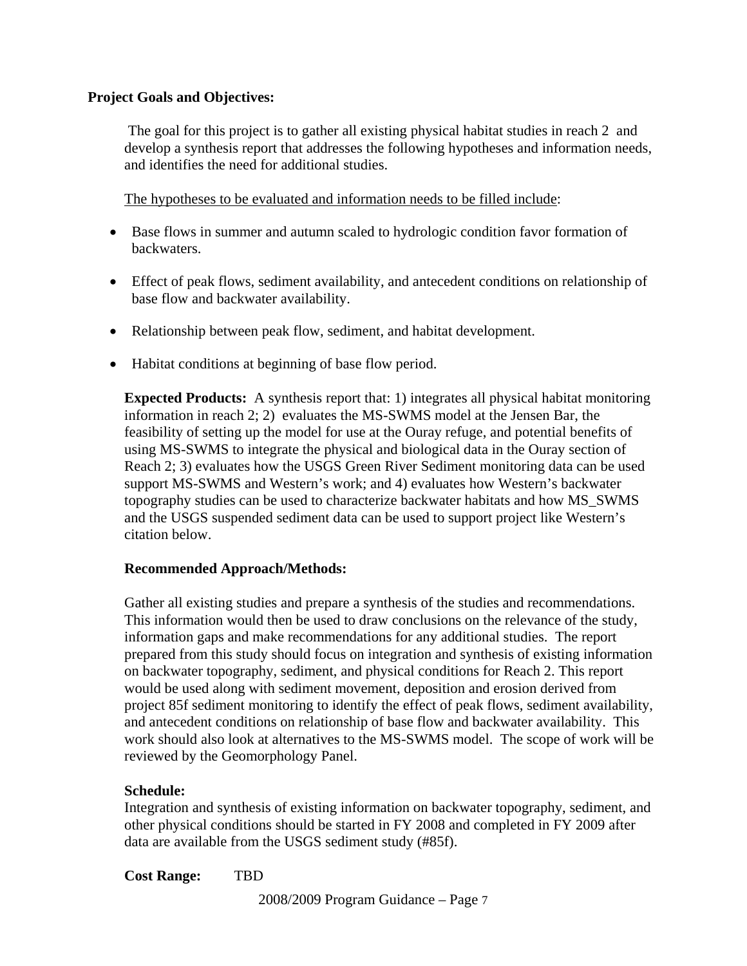#### **Project Goals and Objectives:**

The goal for this project is to gather all existing physical habitat studies in reach 2 and develop a synthesis report that addresses the following hypotheses and information needs, and identifies the need for additional studies.

The hypotheses to be evaluated and information needs to be filled include:

- Base flows in summer and autumn scaled to hydrologic condition favor formation of backwaters.
- Effect of peak flows, sediment availability, and antecedent conditions on relationship of base flow and backwater availability.
- Relationship between peak flow, sediment, and habitat development.
- Habitat conditions at beginning of base flow period.

**Expected Products:** A synthesis report that: 1) integrates all physical habitat monitoring information in reach 2; 2) evaluates the MS-SWMS model at the Jensen Bar, the feasibility of setting up the model for use at the Ouray refuge, and potential benefits of using MS-SWMS to integrate the physical and biological data in the Ouray section of Reach 2; 3) evaluates how the USGS Green River Sediment monitoring data can be used support MS-SWMS and Western's work; and 4) evaluates how Western's backwater topography studies can be used to characterize backwater habitats and how MS\_SWMS and the USGS suspended sediment data can be used to support project like Western's citation below.

#### **Recommended Approach/Methods:**

Gather all existing studies and prepare a synthesis of the studies and recommendations. This information would then be used to draw conclusions on the relevance of the study, information gaps and make recommendations for any additional studies. The report prepared from this study should focus on integration and synthesis of existing information on backwater topography, sediment, and physical conditions for Reach 2. This report would be used along with sediment movement, deposition and erosion derived from project 85f sediment monitoring to identify the effect of peak flows, sediment availability, and antecedent conditions on relationship of base flow and backwater availability. This work should also look at alternatives to the MS-SWMS model. The scope of work will be reviewed by the Geomorphology Panel.

#### **Schedule:**

Integration and synthesis of existing information on backwater topography, sediment, and other physical conditions should be started in FY 2008 and completed in FY 2009 after data are available from the USGS sediment study (#85f).

**Cost Range:** TBD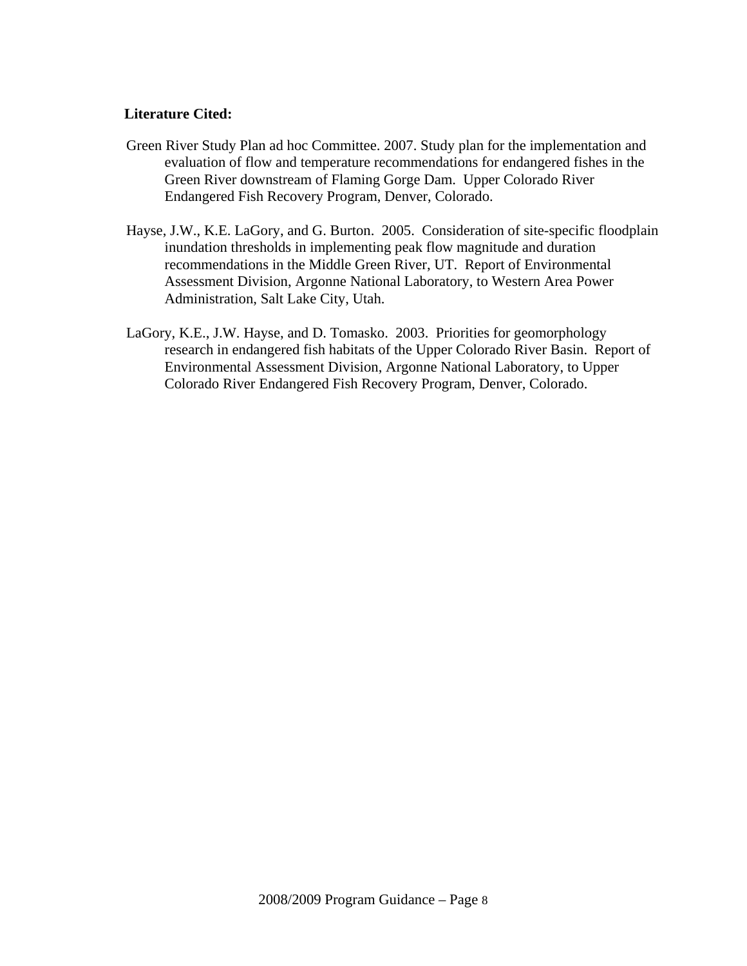#### **Literature Cited:**

- Green River Study Plan ad hoc Committee. 2007. Study plan for the implementation and evaluation of flow and temperature recommendations for endangered fishes in the Green River downstream of Flaming Gorge Dam. Upper Colorado River Endangered Fish Recovery Program, Denver, Colorado.
- Hayse, J.W., K.E. LaGory, and G. Burton. 2005. Consideration of site-specific floodplain inundation thresholds in implementing peak flow magnitude and duration recommendations in the Middle Green River, UT. Report of Environmental Assessment Division, Argonne National Laboratory, to Western Area Power Administration, Salt Lake City, Utah.
- LaGory, K.E., J.W. Hayse, and D. Tomasko. 2003. Priorities for geomorphology research in endangered fish habitats of the Upper Colorado River Basin. Report of Environmental Assessment Division, Argonne National Laboratory, to Upper Colorado River Endangered Fish Recovery Program, Denver, Colorado.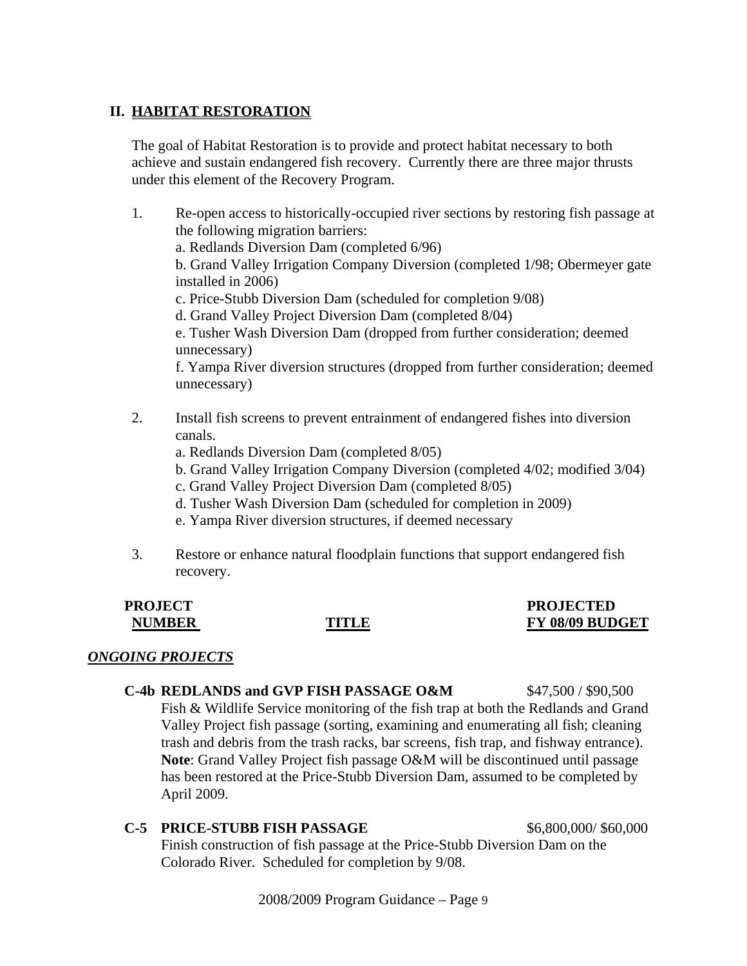#### **II. HABITAT RESTORATION**

The goal of Habitat Restoration is to provide and protect habitat necessary to both achieve and sustain endangered fish recovery. Currently there are three major thrusts under this element of the Recovery Program.

- 1. Re-open access to historically-occupied river sections by restoring fish passage at the following migration barriers: a. Redlands Diversion Dam (completed 6/96) b. Grand Valley Irrigation Company Diversion (completed 1/98; Obermeyer gate installed in 2006) c. Price-Stubb Diversion Dam (scheduled for completion 9/08) d. Grand Valley Project Diversion Dam (completed 8/04) e. Tusher Wash Diversion Dam (dropped from further consideration; deemed unnecessary) f. Yampa River diversion structures (dropped from further consideration; deemed unnecessary)
- 2. Install fish screens to prevent entrainment of endangered fishes into diversion canals.
	- a. Redlands Diversion Dam (completed 8/05)
	- b. Grand Valley Irrigation Company Diversion (completed 4/02; modified 3/04)
	- c. Grand Valley Project Diversion Dam (completed 8/05)
	- d. Tusher Wash Diversion Dam (scheduled for completion in 2009)
	- e. Yampa River diversion structures, if deemed necessary
- 3. Restore or enhance natural floodplain functions that support endangered fish recovery.

#### **PROJECT PROJECTED NUMBER TITLE FY 08/09 BUDGET**

#### *ONGOING PROJECTS*

# **C-4b REDLANDS and GVP FISH PASSAGE O&M** \$47,500 / \$90,500

Fish & Wildlife Service monitoring of the fish trap at both the Redlands and Grand Valley Project fish passage (sorting, examining and enumerating all fish; cleaning trash and debris from the trash racks, bar screens, fish trap, and fishway entrance). **Note**: Grand Valley Project fish passage O&M will be discontinued until passage has been restored at the Price-Stubb Diversion Dam, assumed to be completed by April 2009.

#### **C-5 PRICE-STUBB FISH PASSAGE 56,800,000/ \$60,000**

Finish construction of fish passage at the Price-Stubb Diversion Dam on the Colorado River. Scheduled for completion by 9/08.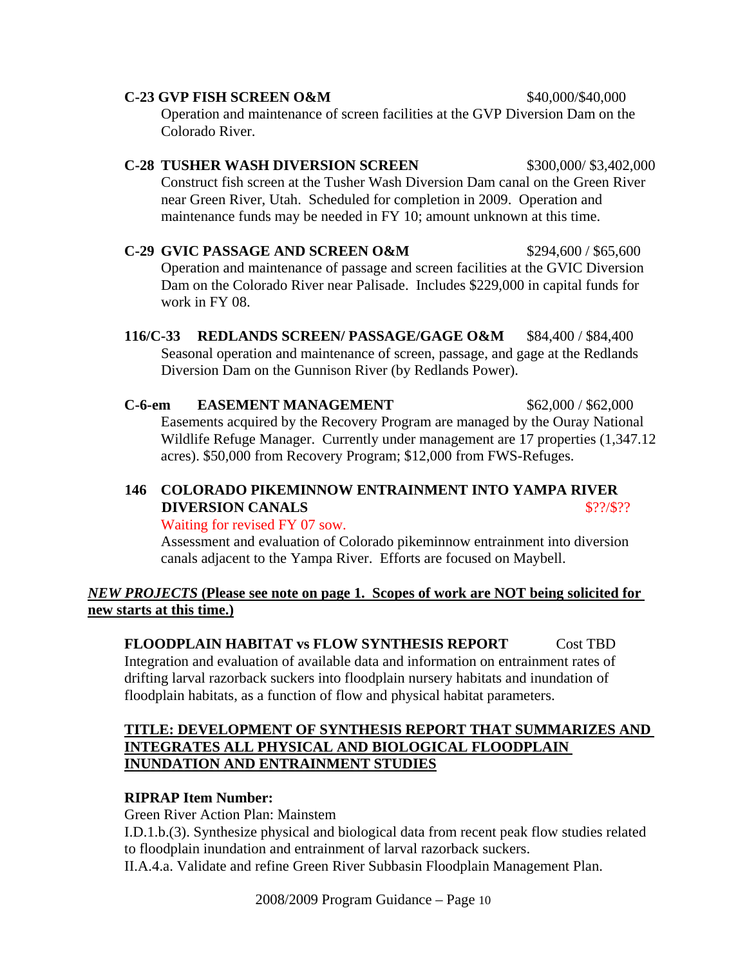# Operation and maintenance of screen facilities at the GVP Diversion Dam on the Colorado River. **C-28 TUSHER WASH DIVERSION SCREEN** \$300,000/\$3,402,000 Construct fish screen at the Tusher Wash Diversion Dam canal on the Green River near Green River, Utah. Scheduled for completion in 2009. Operation and maintenance funds may be needed in FY 10; amount unknown at this time.

**C-23 GVP FISH SCREEN O&M** \$40,000/\$40,000

**C-29 GVIC PASSAGE AND SCREEN O&M** \$294,600 / \$65,600 Operation and maintenance of passage and screen facilities at the GVIC Diversion Dam on the Colorado River near Palisade. Includes \$229,000 in capital funds for work in FY 08.

**116/C-33 REDLANDS SCREEN/ PASSAGE/GAGE O&M** \$84,400 / \$84,400 Seasonal operation and maintenance of screen, passage, and gage at the Redlands Diversion Dam on the Gunnison River (by Redlands Power).

**C-6-em EASEMENT MANAGEMENT** \$62,000 / \$62,000 Easements acquired by the Recovery Program are managed by the Ouray National Wildlife Refuge Manager. Currently under management are 17 properties (1,347.12 acres). \$50,000 from Recovery Program; \$12,000 from FWS-Refuges.

### **146 COLORADO PIKEMINNOW ENTRAINMENT INTO YAMPA RIVER DIVERSION CANALS** \$??/\$??

Waiting for revised FY 07 sow.

Assessment and evaluation of Colorado pikeminnow entrainment into diversion canals adjacent to the Yampa River. Efforts are focused on Maybell.

*NEW PROJECTS* **(Please see note on page 1. Scopes of work are NOT being solicited for new starts at this time.)**

# **FLOODPLAIN HABITAT vs FLOW SYNTHESIS REPORT** Cost TBD

Integration and evaluation of available data and information on entrainment rates of drifting larval razorback suckers into floodplain nursery habitats and inundation of floodplain habitats, as a function of flow and physical habitat parameters.

#### **TITLE: DEVELOPMENT OF SYNTHESIS REPORT THAT SUMMARIZES AND INTEGRATES ALL PHYSICAL AND BIOLOGICAL FLOODPLAIN INUNDATION AND ENTRAINMENT STUDIES**

# **RIPRAP Item Number:**

Green River Action Plan: Mainstem

I.D.1.b.(3). Synthesize physical and biological data from recent peak flow studies related to floodplain inundation and entrainment of larval razorback suckers.

II.A.4.a. Validate and refine Green River Subbasin Floodplain Management Plan.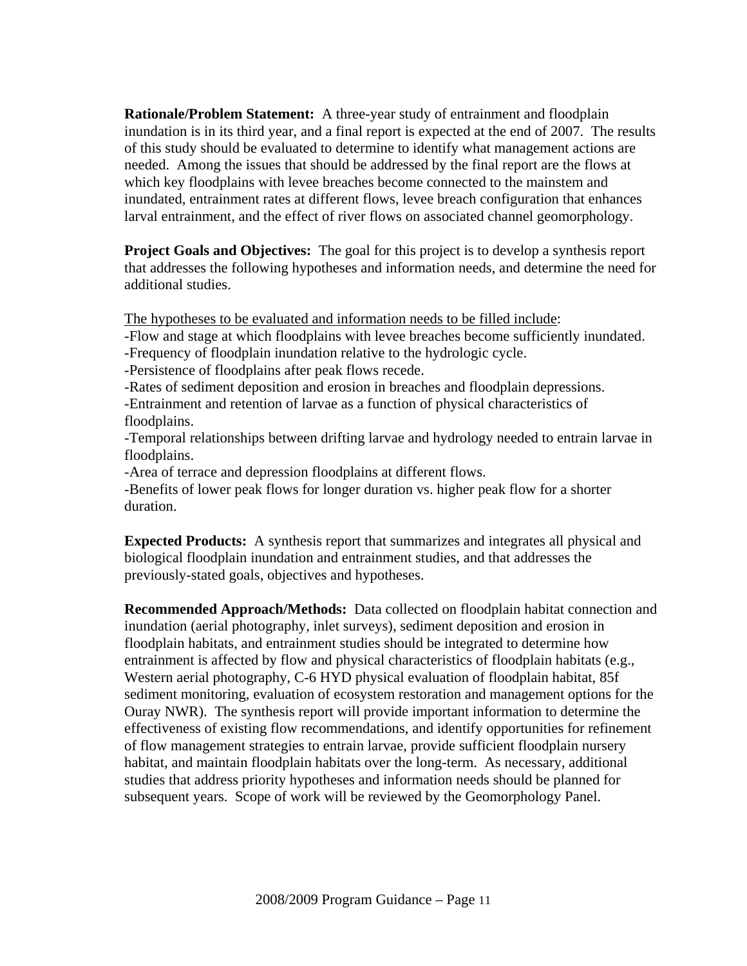**Rationale/Problem Statement:** A three-year study of entrainment and floodplain inundation is in its third year, and a final report is expected at the end of 2007. The results of this study should be evaluated to determine to identify what management actions are needed. Among the issues that should be addressed by the final report are the flows at which key floodplains with levee breaches become connected to the mainstem and inundated, entrainment rates at different flows, levee breach configuration that enhances larval entrainment, and the effect of river flows on associated channel geomorphology.

**Project Goals and Objectives:** The goal for this project is to develop a synthesis report that addresses the following hypotheses and information needs, and determine the need for additional studies.

The hypotheses to be evaluated and information needs to be filled include:

-Flow and stage at which floodplains with levee breaches become sufficiently inundated.

- -Frequency of floodplain inundation relative to the hydrologic cycle.
- -Persistence of floodplains after peak flows recede.
- -Rates of sediment deposition and erosion in breaches and floodplain depressions.
- -Entrainment and retention of larvae as a function of physical characteristics of floodplains.
- -Temporal relationships between drifting larvae and hydrology needed to entrain larvae in floodplains.
- -Area of terrace and depression floodplains at different flows.

-Benefits of lower peak flows for longer duration vs. higher peak flow for a shorter duration.

**Expected Products:** A synthesis report that summarizes and integrates all physical and biological floodplain inundation and entrainment studies, and that addresses the previously-stated goals, objectives and hypotheses.

**Recommended Approach/Methods:** Data collected on floodplain habitat connection and inundation (aerial photography, inlet surveys), sediment deposition and erosion in floodplain habitats, and entrainment studies should be integrated to determine how entrainment is affected by flow and physical characteristics of floodplain habitats (e.g., Western aerial photography, C-6 HYD physical evaluation of floodplain habitat, 85f sediment monitoring, evaluation of ecosystem restoration and management options for the Ouray NWR). The synthesis report will provide important information to determine the effectiveness of existing flow recommendations, and identify opportunities for refinement of flow management strategies to entrain larvae, provide sufficient floodplain nursery habitat, and maintain floodplain habitats over the long-term. As necessary, additional studies that address priority hypotheses and information needs should be planned for subsequent years. Scope of work will be reviewed by the Geomorphology Panel.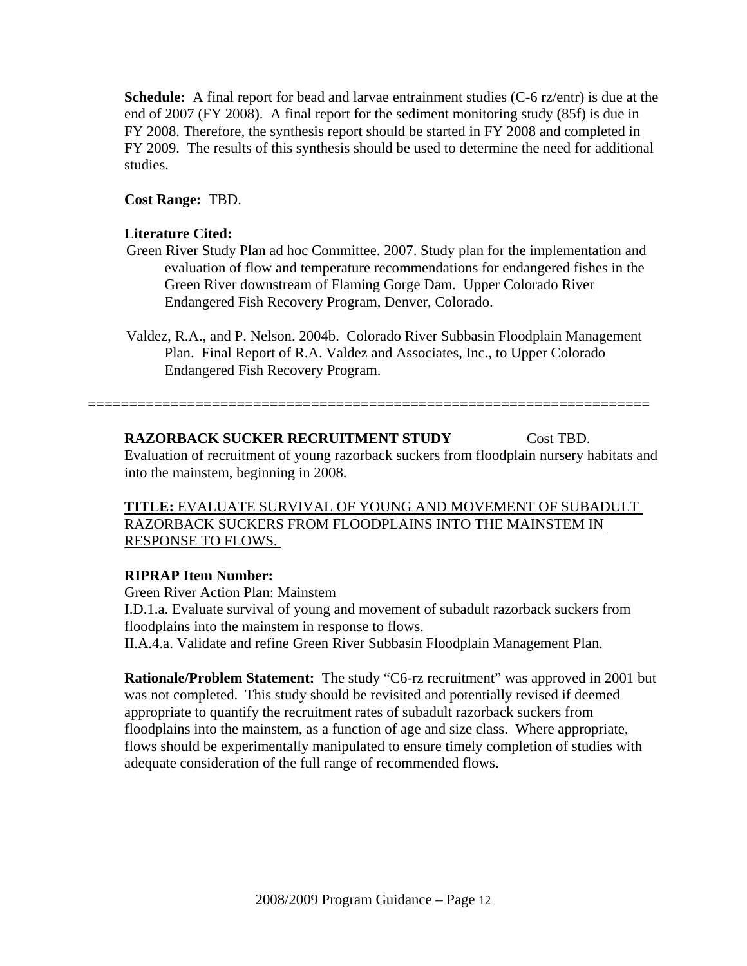**Schedule:** A final report for bead and larvae entrainment studies (C-6 rz/entr) is due at the end of 2007 (FY 2008). A final report for the sediment monitoring study (85f) is due in FY 2008. Therefore, the synthesis report should be started in FY 2008 and completed in FY 2009. The results of this synthesis should be used to determine the need for additional studies.

#### **Cost Range:** TBD.

#### **Literature Cited:**

- Green River Study Plan ad hoc Committee. 2007. Study plan for the implementation and evaluation of flow and temperature recommendations for endangered fishes in the Green River downstream of Flaming Gorge Dam. Upper Colorado River Endangered Fish Recovery Program, Denver, Colorado.
- Valdez, R.A., and P. Nelson. 2004b. Colorado River Subbasin Floodplain Management Plan. Final Report of R.A. Valdez and Associates, Inc., to Upper Colorado Endangered Fish Recovery Program.

====================================================================

**RAZORBACK SUCKER RECRUITMENT STUDY** Cost TBD. Evaluation of recruitment of young razorback suckers from floodplain nursery habitats and into the mainstem, beginning in 2008.

**TITLE:** EVALUATE SURVIVAL OF YOUNG AND MOVEMENT OF SUBADULT RAZORBACK SUCKERS FROM FLOODPLAINS INTO THE MAINSTEM IN RESPONSE TO FLOWS.

#### **RIPRAP Item Number:**

 Green River Action Plan: Mainstem I.D.1.a. Evaluate survival of young and movement of subadult razorback suckers from floodplains into the mainstem in response to flows.

II.A.4.a. Validate and refine Green River Subbasin Floodplain Management Plan.

**Rationale/Problem Statement:** The study "C6-rz recruitment" was approved in 2001 but was not completed. This study should be revisited and potentially revised if deemed appropriate to quantify the recruitment rates of subadult razorback suckers from floodplains into the mainstem, as a function of age and size class. Where appropriate, flows should be experimentally manipulated to ensure timely completion of studies with adequate consideration of the full range of recommended flows.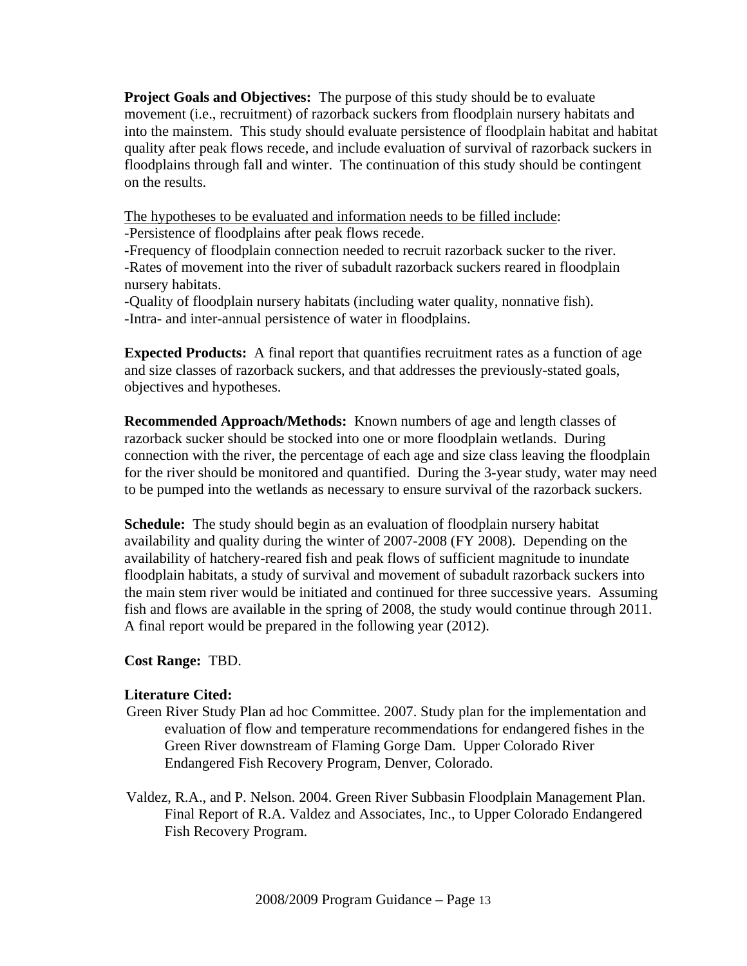**Project Goals and Objectives:** The purpose of this study should be to evaluate movement (i.e., recruitment) of razorback suckers from floodplain nursery habitats and into the mainstem. This study should evaluate persistence of floodplain habitat and habitat quality after peak flows recede, and include evaluation of survival of razorback suckers in floodplains through fall and winter. The continuation of this study should be contingent on the results.

The hypotheses to be evaluated and information needs to be filled include:

-Persistence of floodplains after peak flows recede.

 -Frequency of floodplain connection needed to recruit razorback sucker to the river. -Rates of movement into the river of subadult razorback suckers reared in floodplain nursery habitats.

-Quality of floodplain nursery habitats (including water quality, nonnative fish). -Intra- and inter-annual persistence of water in floodplains.

**Expected Products:** A final report that quantifies recruitment rates as a function of age and size classes of razorback suckers, and that addresses the previously-stated goals, objectives and hypotheses.

**Recommended Approach/Methods:** Known numbers of age and length classes of razorback sucker should be stocked into one or more floodplain wetlands. During connection with the river, the percentage of each age and size class leaving the floodplain for the river should be monitored and quantified. During the 3-year study, water may need to be pumped into the wetlands as necessary to ensure survival of the razorback suckers.

**Schedule:** The study should begin as an evaluation of floodplain nursery habitat availability and quality during the winter of 2007-2008 (FY 2008). Depending on the availability of hatchery-reared fish and peak flows of sufficient magnitude to inundate floodplain habitats, a study of survival and movement of subadult razorback suckers into the main stem river would be initiated and continued for three successive years. Assuming fish and flows are available in the spring of 2008, the study would continue through 2011. A final report would be prepared in the following year (2012).

#### **Cost Range:** TBD.

#### **Literature Cited:**

- Green River Study Plan ad hoc Committee. 2007. Study plan for the implementation and evaluation of flow and temperature recommendations for endangered fishes in the Green River downstream of Flaming Gorge Dam. Upper Colorado River Endangered Fish Recovery Program, Denver, Colorado.
- Valdez, R.A., and P. Nelson. 2004. Green River Subbasin Floodplain Management Plan. Final Report of R.A. Valdez and Associates, Inc., to Upper Colorado Endangered Fish Recovery Program.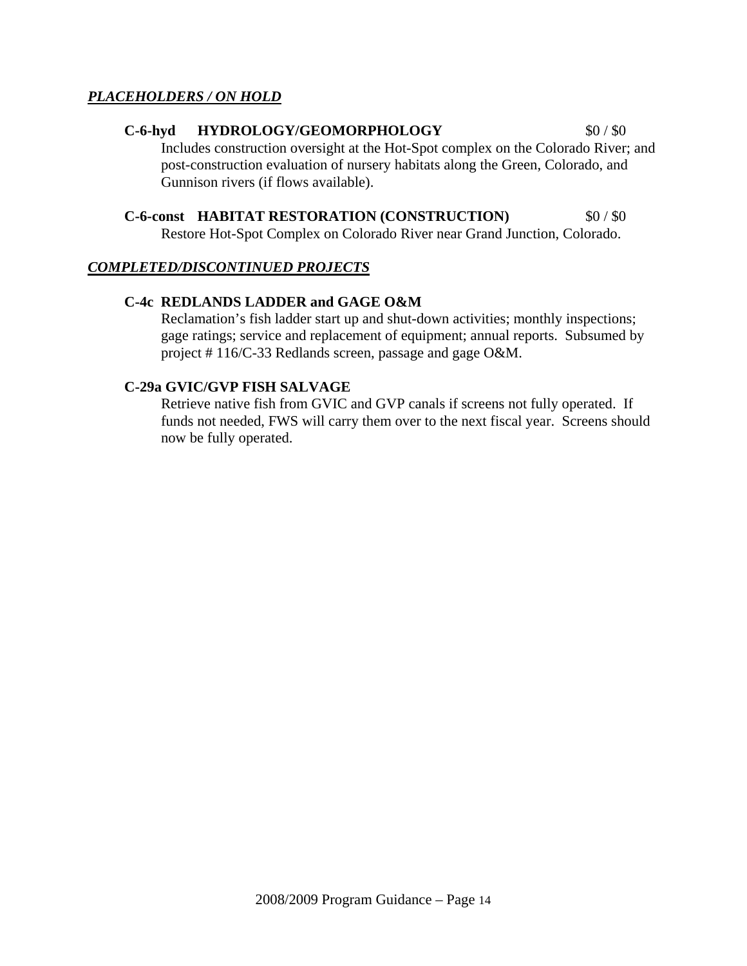#### *PLACEHOLDERS / ON HOLD*

#### C-6-hyd HYDROLOGY/GEOMORPHOLOGY \$0/\$0

Includes construction oversight at the Hot-Spot complex on the Colorado River; and post-construction evaluation of nursery habitats along the Green, Colorado, and Gunnison rivers (if flows available).

#### **C-6-const HABITAT RESTORATION (CONSTRUCTION)** \$0 / \$0

Restore Hot-Spot Complex on Colorado River near Grand Junction, Colorado.

#### *COMPLETED/DISCONTINUED PROJECTS*

#### **C-4c REDLANDS LADDER and GAGE O&M**

Reclamation's fish ladder start up and shut-down activities; monthly inspections; gage ratings; service and replacement of equipment; annual reports. Subsumed by project # 116/C-33 Redlands screen, passage and gage O&M.

#### **C-29a GVIC/GVP FISH SALVAGE**

Retrieve native fish from GVIC and GVP canals if screens not fully operated. If funds not needed, FWS will carry them over to the next fiscal year. Screens should now be fully operated.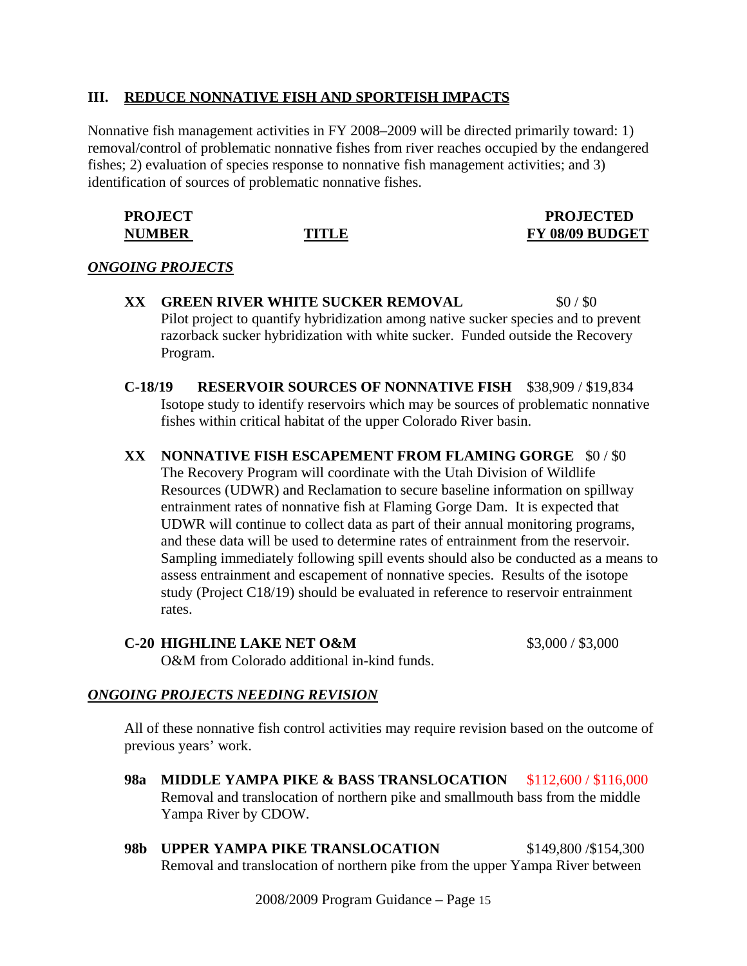#### **III. REDUCE NONNATIVE FISH AND SPORTFISH IMPACTS**

Nonnative fish management activities in FY 2008–2009 will be directed primarily toward: 1) removal/control of problematic nonnative fishes from river reaches occupied by the endangered fishes; 2) evaluation of species response to nonnative fish management activities; and 3) identification of sources of problematic nonnative fishes.

| <b>PROJECT</b> |       | <b>PROJECTED</b> |
|----------------|-------|------------------|
| <b>NUMBER</b>  | TITLE | FY 08/09 BUDGET  |

#### *ONGOING PROJECTS*

- **XX GREEN RIVER WHITE SUCKER REMOVAL \$0 / \$0** Pilot project to quantify hybridization among native sucker species and to prevent razorback sucker hybridization with white sucker. Funded outside the Recovery Program.
- **C-18/19 RESERVOIR SOURCES OF NONNATIVE FISH** \$38,909 / \$19,834 Isotope study to identify reservoirs which may be sources of problematic nonnative fishes within critical habitat of the upper Colorado River basin.
- **XX NONNATIVE FISH ESCAPEMENT FROM FLAMING GORGE** \$0 / \$0 The Recovery Program will coordinate with the Utah Division of Wildlife Resources (UDWR) and Reclamation to secure baseline information on spillway entrainment rates of nonnative fish at Flaming Gorge Dam. It is expected that UDWR will continue to collect data as part of their annual monitoring programs, and these data will be used to determine rates of entrainment from the reservoir. Sampling immediately following spill events should also be conducted as a means to assess entrainment and escapement of nonnative species. Results of the isotope study (Project C18/19) should be evaluated in reference to reservoir entrainment rates.

#### **C-20 HIGHLINE LAKE NET O&M** \$3,000 / \$3,000

O&M from Colorado additional in-kind funds.

#### *ONGOING PROJECTS NEEDING REVISION*

All of these nonnative fish control activities may require revision based on the outcome of previous years' work.

- **98a MIDDLE YAMPA PIKE & BASS TRANSLOCATION** \$112,600 / \$116,000 Removal and translocation of northern pike and smallmouth bass from the middle Yampa River by CDOW.
- **98b UPPER YAMPA PIKE TRANSLOCATION** \$149,800 /\$154,300 Removal and translocation of northern pike from the upper Yampa River between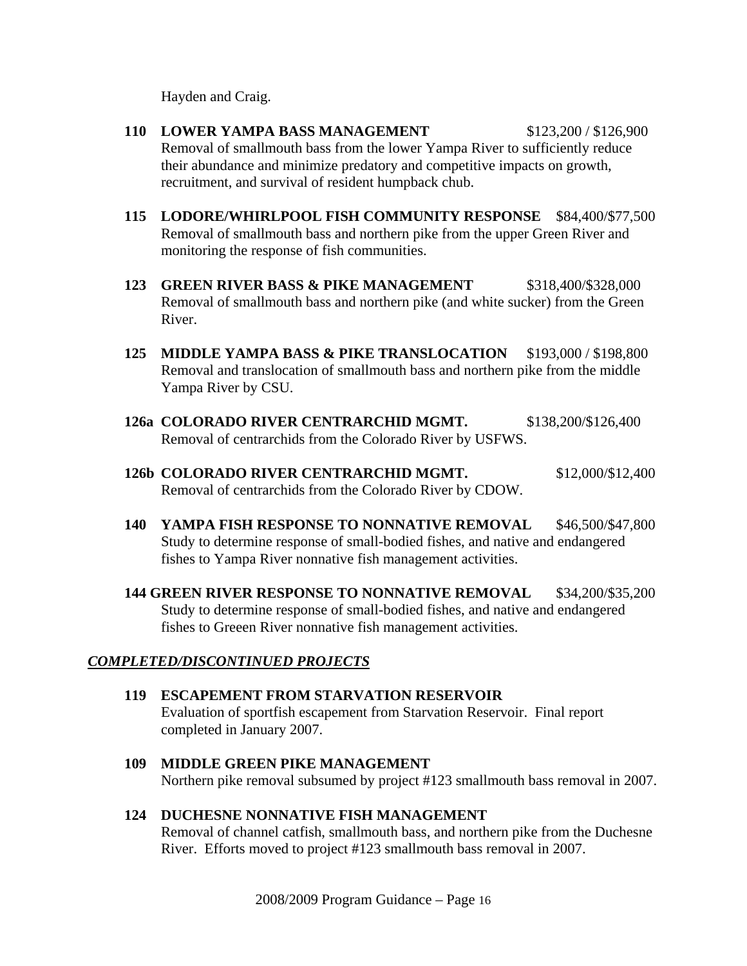Hayden and Craig.

- **110 LOWER YAMPA BASS MANAGEMENT** \$123,200 / \$126,900 Removal of smallmouth bass from the lower Yampa River to sufficiently reduce their abundance and minimize predatory and competitive impacts on growth, recruitment, and survival of resident humpback chub.
- **115 LODORE/WHIRLPOOL FISH COMMUNITY RESPONSE** \$84,400/\$77,500 Removal of smallmouth bass and northern pike from the upper Green River and monitoring the response of fish communities.
- **123 GREEN RIVER BASS & PIKE MANAGEMENT** \$318,400/\$328,000 Removal of smallmouth bass and northern pike (and white sucker) from the Green River.
- **125 MIDDLE YAMPA BASS & PIKE TRANSLOCATION** \$193,000 / \$198,800 Removal and translocation of smallmouth bass and northern pike from the middle Yampa River by CSU.
- **126a COLORADO RIVER CENTRARCHID MGMT.** \$138,200/\$126,400 Removal of centrarchids from the Colorado River by USFWS.
- **126b COLORADO RIVER CENTRARCHID MGMT.** \$12,000/\$12,400 Removal of centrarchids from the Colorado River by CDOW.
- **140 YAMPA FISH RESPONSE TO NONNATIVE REMOVAL** \$46,500/\$47,800 Study to determine response of small-bodied fishes, and native and endangered fishes to Yampa River nonnative fish management activities.
- **144 GREEN RIVER RESPONSE TO NONNATIVE REMOVAL \$34,200/\$35,200** Study to determine response of small-bodied fishes, and native and endangered fishes to Greeen River nonnative fish management activities.

#### *COMPLETED/DISCONTINUED PROJECTS*

- **119 ESCAPEMENT FROM STARVATION RESERVOIR** Evaluation of sportfish escapement from Starvation Reservoir. Final report completed in January 2007.
- **109 MIDDLE GREEN PIKE MANAGEMENT** Northern pike removal subsumed by project #123 smallmouth bass removal in 2007.
- **124 DUCHESNE NONNATIVE FISH MANAGEMENT** Removal of channel catfish, smallmouth bass, and northern pike from the Duchesne River. Efforts moved to project #123 smallmouth bass removal in 2007.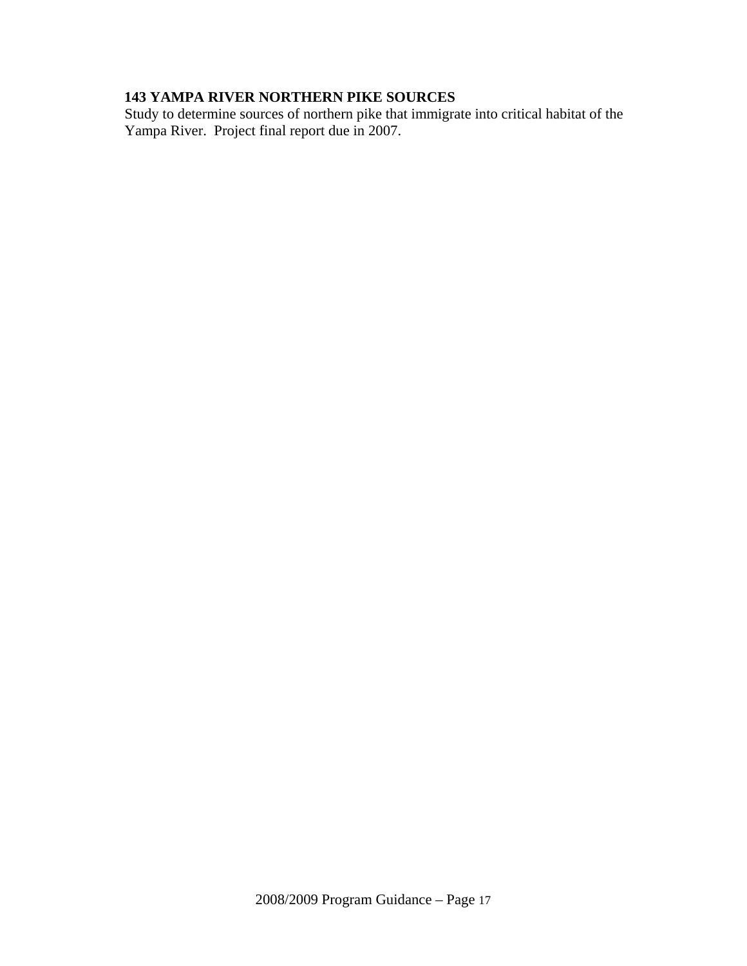# **143 YAMPA RIVER NORTHERN PIKE SOURCES**

Study to determine sources of northern pike that immigrate into critical habitat of the Yampa River. Project final report due in 2007.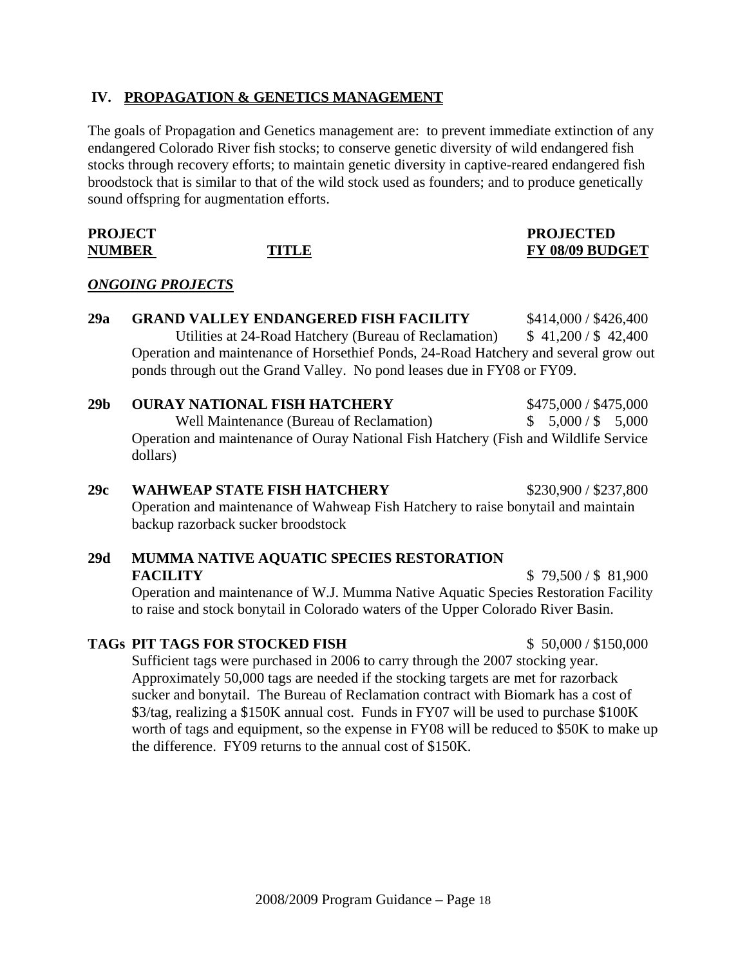#### **IV. PROPAGATION & GENETICS MANAGEMENT**

The goals of Propagation and Genetics management are: to prevent immediate extinction of any endangered Colorado River fish stocks; to conserve genetic diversity of wild endangered fish stocks through recovery efforts; to maintain genetic diversity in captive-reared endangered fish broodstock that is similar to that of the wild stock used as founders; and to produce genetically sound offspring for augmentation efforts.

#### **PROJECT PROJECT PROJECT PROJECT PROJECT PROJECT PROJECT PROJECT PROJECT PROJECT PROJECT PROJECT PROJECT PROJECT PRO NUMBER TITLE FY 08/09 BUDGET**

#### *ONGOING PROJECTS*

# **29a GRAND VALLEY ENDANGERED FISH FACILITY** \$414,000 / \$426,400 Utilities at 24-Road Hatchery (Bureau of Reclamation) \$ 41,200 / \$ 42,400 Operation and maintenance of Horsethief Ponds, 24-Road Hatchery and several grow out ponds through out the Grand Valley. No pond leases due in FY08 or FY09.

#### **29b OURAY NATIONAL FISH HATCHERY** \$475,000 / \$475,000 Well Maintenance (Bureau of Reclamation)  $\qquad$  \$ 5,000 / \$ 5,000 Operation and maintenance of Ouray National Fish Hatchery (Fish and Wildlife Service dollars)

# **29c WAHWEAP STATE FISH HATCHERY** \$230,900 / \$237,800 Operation and maintenance of Wahweap Fish Hatchery to raise bonytail and maintain backup razorback sucker broodstock

#### **29d MUMMA NATIVE AQUATIC SPECIES RESTORATION FACILITY** \$ 79,500 / \$ 81,900

Operation and maintenance of W.J. Mumma Native Aquatic Species Restoration Facility to raise and stock bonytail in Colorado waters of the Upper Colorado River Basin.

#### **TAGs PIT TAGS FOR STOCKED FISH** \$ 50,000 / \$150,000

Sufficient tags were purchased in 2006 to carry through the 2007 stocking year. Approximately 50,000 tags are needed if the stocking targets are met for razorback sucker and bonytail. The Bureau of Reclamation contract with Biomark has a cost of \$3/tag, realizing a \$150K annual cost. Funds in FY07 will be used to purchase \$100K worth of tags and equipment, so the expense in FY08 will be reduced to \$50K to make up the difference. FY09 returns to the annual cost of \$150K.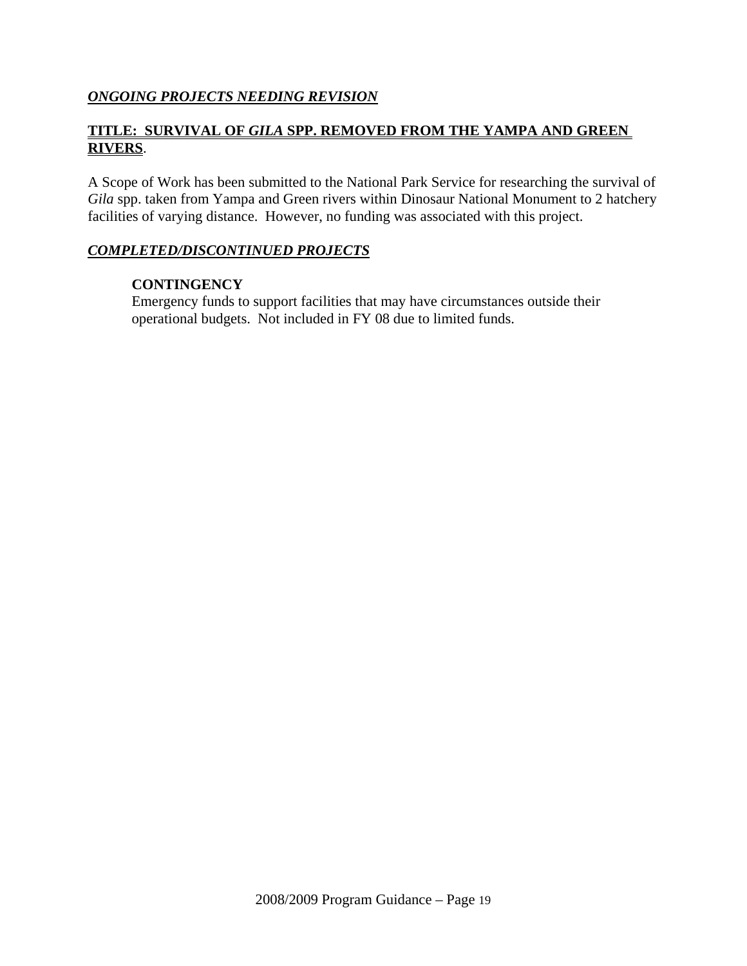#### *ONGOING PROJECTS NEEDING REVISION*

### **TITLE: SURVIVAL OF** *GILA* **SPP. REMOVED FROM THE YAMPA AND GREEN RIVERS**.

A Scope of Work has been submitted to the National Park Service for researching the survival of *Gila* spp. taken from Yampa and Green rivers within Dinosaur National Monument to 2 hatchery facilities of varying distance. However, no funding was associated with this project.

#### *COMPLETED/DISCONTINUED PROJECTS*

#### **CONTINGENCY**

Emergency funds to support facilities that may have circumstances outside their operational budgets. Not included in FY 08 due to limited funds.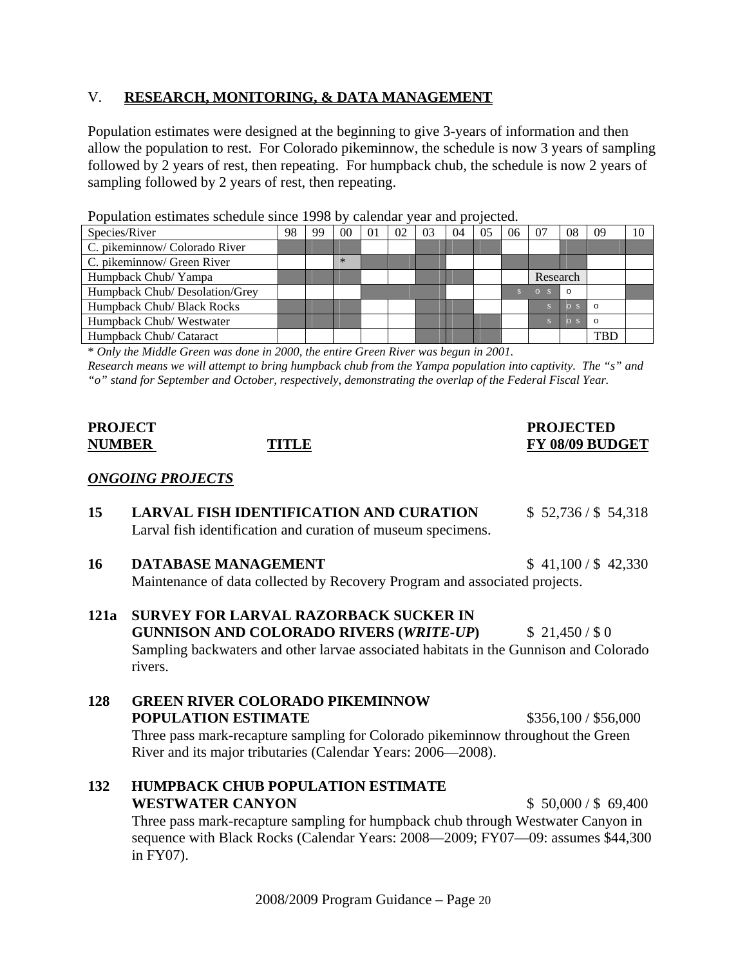#### V. **RESEARCH, MONITORING, & DATA MANAGEMENT**

Population estimates were designed at the beginning to give 3-years of information and then allow the population to rest. For Colorado pikeminnow, the schedule is now 3 years of sampling followed by 2 years of rest, then repeating. For humpback chub, the schedule is now 2 years of sampling followed by 2 years of rest, then repeating.

Population estimates schedule since 1998 by calendar year and projected.

| Species/River                  | 98 | 99 | 0 <sup>0</sup> | $\Omega$ | 02 | 03 | 04 | 05 | 06 | 07       | 08             | -09        | 10 |
|--------------------------------|----|----|----------------|----------|----|----|----|----|----|----------|----------------|------------|----|
| C. pikeminnow/ Colorado River  |    |    |                |          |    |    |    |    |    |          |                |            |    |
| C. pikeminnow/ Green River     |    |    | $\ast$         |          |    |    |    |    |    |          |                |            |    |
| Humpback Chub/ Yampa           |    |    |                |          |    |    |    |    |    | Research |                |            |    |
| Humpback Chub/ Desolation/Grey |    |    |                |          |    |    |    |    |    | $O-S$    | $\Omega$       |            |    |
| Humpback Chub/ Black Rocks     |    |    |                |          |    |    |    |    |    |          | $O_S$          | $\Omega$   |    |
| Humpback Chub/Westwater        |    |    |                |          |    |    |    |    |    |          | 0 <sup>5</sup> | $\Omega$   |    |
| Humpback Chub/ Cataract        |    |    |                |          |    |    |    |    |    |          |                | <b>TBL</b> |    |

\* *Only the Middle Green was done in 2000, the entire Green River was begun in 2001.* 

*Research means we will attempt to bring humpback chub from the Yampa population into captivity. The "s" and "o" stand for September and October, respectively, demonstrating the overlap of the Federal Fiscal Year.*

#### PROJECT PROJECTED **PROJECTED NUMBER TITLE FY 08/09 BUDGET**

#### *ONGOING PROJECTS*

- **15 LARVAL FISH IDENTIFICATION AND CURATION** \$ 52,736 / \$ 54,318 Larval fish identification and curation of museum specimens.
- **16 DATABASE MANAGEMENT** \$ 41,100 / \$ 42,330 Maintenance of data collected by Recovery Program and associated projects.
- **121a SURVEY FOR LARVAL RAZORBACK SUCKER IN GUNNISON AND COLORADO RIVERS (***WRITE-UP***)** \$ 21,450 / \$ 0 Sampling backwaters and other larvae associated habitats in the Gunnison and Colorado rivers.
- **128 GREEN RIVER COLORADO PIKEMINNOW POPULATION ESTIMATE** \$356,100 / \$56,000 Three pass mark-recapture sampling for Colorado pikeminnow throughout the Green River and its major tributaries (Calendar Years: 2006—2008).
- **132 HUMPBACK CHUB POPULATION ESTIMATE WESTWATER CANYON 5 50,000 / \$ 69,400**

Three pass mark-recapture sampling for humpback chub through Westwater Canyon in sequence with Black Rocks (Calendar Years: 2008—2009; FY07—09: assumes \$44,300 in FY07).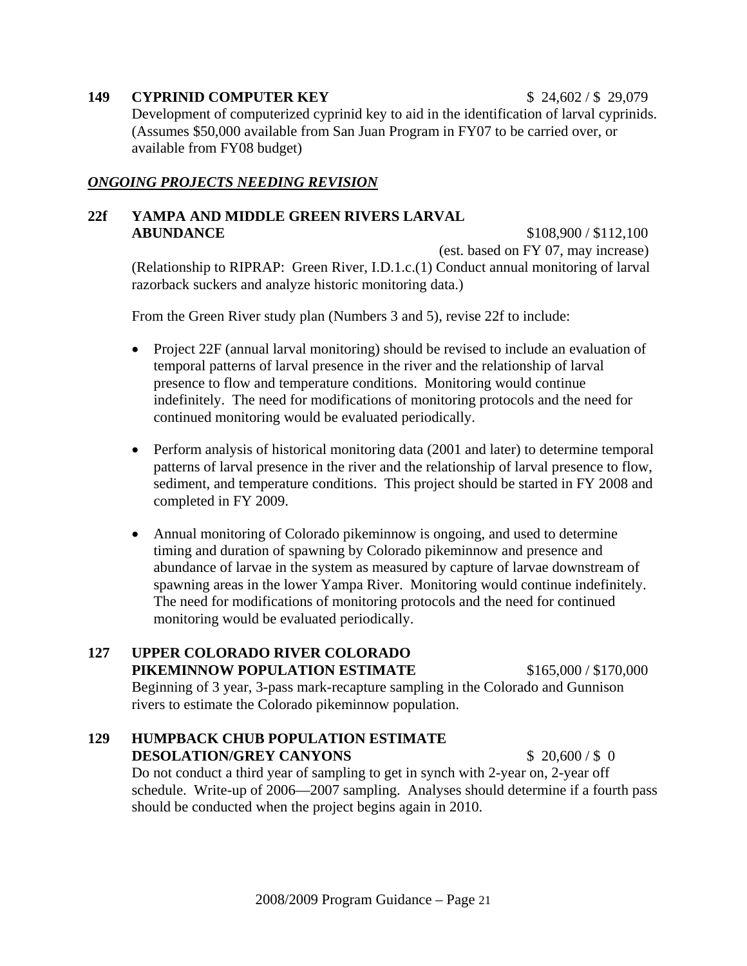**149 CYPRINID COMPUTER KEY** \$ 24,602 / \$ 29,079 Development of computerized cyprinid key to aid in the identification of larval cyprinids. (Assumes \$50,000 available from San Juan Program in FY07 to be carried over, or available from FY08 budget)

#### *ONGOING PROJECTS NEEDING REVISION*

#### **22f YAMPA AND MIDDLE GREEN RIVERS LARVAL ABUNDANCE** \$108,900 / \$112,100

(est. based on FY 07, may increase) (Relationship to RIPRAP: Green River, I.D.1.c.(1) Conduct annual monitoring of larval razorback suckers and analyze historic monitoring data.)

From the Green River study plan (Numbers 3 and 5), revise 22f to include:

- Project 22F (annual larval monitoring) should be revised to include an evaluation of temporal patterns of larval presence in the river and the relationship of larval presence to flow and temperature conditions. Monitoring would continue indefinitely. The need for modifications of monitoring protocols and the need for continued monitoring would be evaluated periodically.
- Perform analysis of historical monitoring data (2001 and later) to determine temporal patterns of larval presence in the river and the relationship of larval presence to flow, sediment, and temperature conditions. This project should be started in FY 2008 and completed in FY 2009.
- Annual monitoring of Colorado pikeminnow is ongoing, and used to determine timing and duration of spawning by Colorado pikeminnow and presence and abundance of larvae in the system as measured by capture of larvae downstream of spawning areas in the lower Yampa River. Monitoring would continue indefinitely. The need for modifications of monitoring protocols and the need for continued monitoring would be evaluated periodically.

#### **127 UPPER COLORADO RIVER COLORADO PIKEMINNOW POPULATION ESTIMATE** \$165,000 / \$170,000

Beginning of 3 year, 3-pass mark-recapture sampling in the Colorado and Gunnison rivers to estimate the Colorado pikeminnow population.

#### **129 HUMPBACK CHUB POPULATION ESTIMATE DESOLATION/GREY CANYONS** \$ 20,600/\$ 0

Do not conduct a third year of sampling to get in synch with 2-year on, 2-year off schedule. Write-up of 2006—2007 sampling. Analyses should determine if a fourth pass should be conducted when the project begins again in 2010.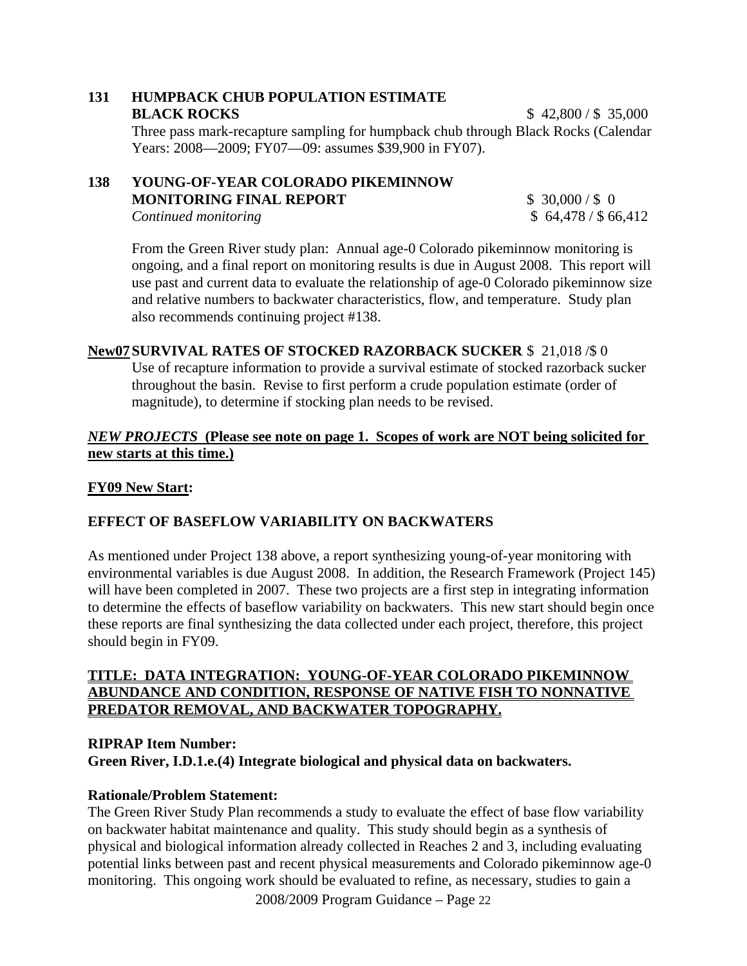# **131 HUMPBACK CHUB POPULATION ESTIMATE**

**BLACK ROCKS** \$ 42,800 / \$ 35,000 Three pass mark-recapture sampling for humpback chub through Black Rocks (Calendar Years: 2008—2009; FY07—09: assumes \$39,900 in FY07).

#### **138 YOUNG-OF-YEAR COLORADO PIKEMINNOW MONITORING FINAL REPORT**  $\qquad$  **\$ 30,000/\$ 0** *Continued monitoring*  $\frac{1}{2}$  66,412

From the Green River study plan: Annual age-0 Colorado pikeminnow monitoring is ongoing, and a final report on monitoring results is due in August 2008. This report will use past and current data to evaluate the relationship of age-0 Colorado pikeminnow size and relative numbers to backwater characteristics, flow, and temperature. Study plan also recommends continuing project #138.

#### **New07 SURVIVAL RATES OF STOCKED RAZORBACK SUCKER** \$ 21,018 /\$ 0

Use of recapture information to provide a survival estimate of stocked razorback sucker throughout the basin. Revise to first perform a crude population estimate (order of magnitude), to determine if stocking plan needs to be revised.

#### *NEW PROJECTS* **(Please see note on page 1. Scopes of work are NOT being solicited for new starts at this time.)**

#### **FY09 New Start:**

### **EFFECT OF BASEFLOW VARIABILITY ON BACKWATERS**

As mentioned under Project 138 above, a report synthesizing young-of-year monitoring with environmental variables is due August 2008. In addition, the Research Framework (Project 145) will have been completed in 2007. These two projects are a first step in integrating information to determine the effects of baseflow variability on backwaters. This new start should begin once these reports are final synthesizing the data collected under each project, therefore, this project should begin in FY09.

#### **TITLE: DATA INTEGRATION: YOUNG-OF-YEAR COLORADO PIKEMINNOW ABUNDANCE AND CONDITION, RESPONSE OF NATIVE FISH TO NONNATIVE PREDATOR REMOVAL, AND BACKWATER TOPOGRAPHY.**

#### **RIPRAP Item Number: Green River, I.D.1.e.(4) Integrate biological and physical data on backwaters.**

#### **Rationale/Problem Statement:**

2008/2009 Program Guidance – Page 22 The Green River Study Plan recommends a study to evaluate the effect of base flow variability on backwater habitat maintenance and quality. This study should begin as a synthesis of physical and biological information already collected in Reaches 2 and 3, including evaluating potential links between past and recent physical measurements and Colorado pikeminnow age-0 monitoring. This ongoing work should be evaluated to refine, as necessary, studies to gain a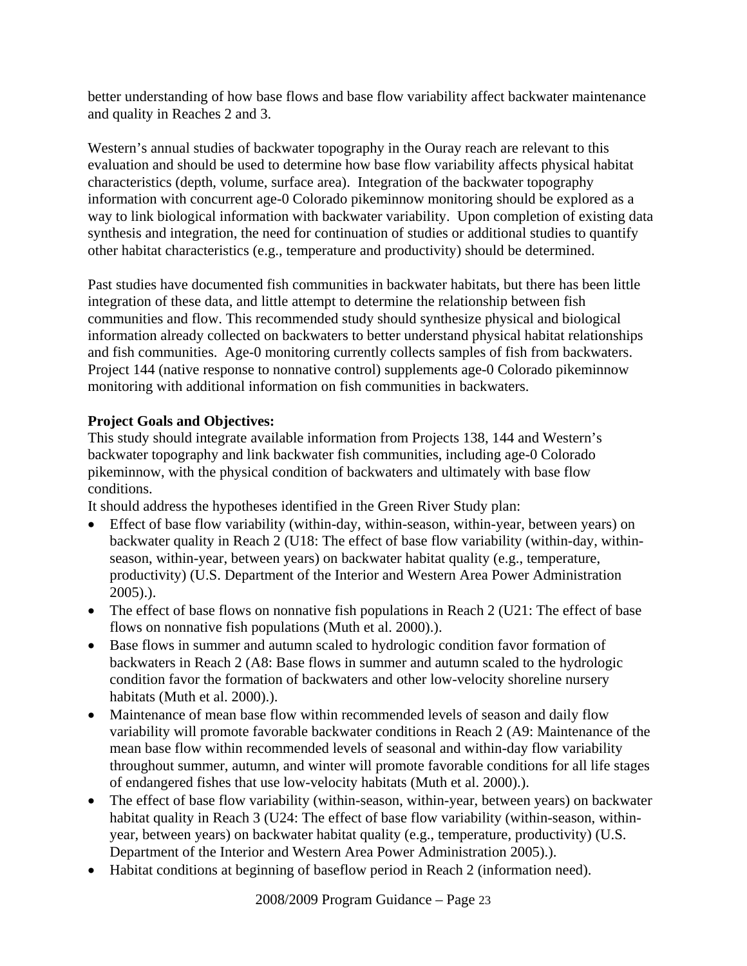better understanding of how base flows and base flow variability affect backwater maintenance and quality in Reaches 2 and 3.

Western's annual studies of backwater topography in the Ouray reach are relevant to this evaluation and should be used to determine how base flow variability affects physical habitat characteristics (depth, volume, surface area). Integration of the backwater topography information with concurrent age-0 Colorado pikeminnow monitoring should be explored as a way to link biological information with backwater variability. Upon completion of existing data synthesis and integration, the need for continuation of studies or additional studies to quantify other habitat characteristics (e.g., temperature and productivity) should be determined.

Past studies have documented fish communities in backwater habitats, but there has been little integration of these data, and little attempt to determine the relationship between fish communities and flow. This recommended study should synthesize physical and biological information already collected on backwaters to better understand physical habitat relationships and fish communities. Age-0 monitoring currently collects samples of fish from backwaters. Project 144 (native response to nonnative control) supplements age-0 Colorado pikeminnow monitoring with additional information on fish communities in backwaters.

### **Project Goals and Objectives:**

This study should integrate available information from Projects 138, 144 and Western's backwater topography and link backwater fish communities, including age-0 Colorado pikeminnow, with the physical condition of backwaters and ultimately with base flow conditions.

It should address the hypotheses identified in the Green River Study plan:

- Effect of base flow variability (within-day, within-season, within-year, between years) on backwater quality in Reach 2 (U18: The effect of base flow variability (within-day, withinseason, within-year, between years) on backwater habitat quality (e.g., temperature, productivity) (U.S. Department of the Interior and Western Area Power Administration 2005).).
- The effect of base flows on nonnative fish populations in Reach 2 (U21: The effect of base flows on nonnative fish populations (Muth et al. 2000).).
- Base flows in summer and autumn scaled to hydrologic condition favor formation of backwaters in Reach 2 (A8: Base flows in summer and autumn scaled to the hydrologic condition favor the formation of backwaters and other low-velocity shoreline nursery habitats (Muth et al. 2000).).
- Maintenance of mean base flow within recommended levels of season and daily flow variability will promote favorable backwater conditions in Reach 2 (A9: Maintenance of the mean base flow within recommended levels of seasonal and within-day flow variability throughout summer, autumn, and winter will promote favorable conditions for all life stages of endangered fishes that use low-velocity habitats (Muth et al. 2000).).
- The effect of base flow variability (within-season, within-year, between years) on backwater habitat quality in Reach 3 (U24: The effect of base flow variability (within-season, withinyear, between years) on backwater habitat quality (e.g., temperature, productivity) (U.S. Department of the Interior and Western Area Power Administration 2005).).
- Habitat conditions at beginning of baseflow period in Reach 2 (information need).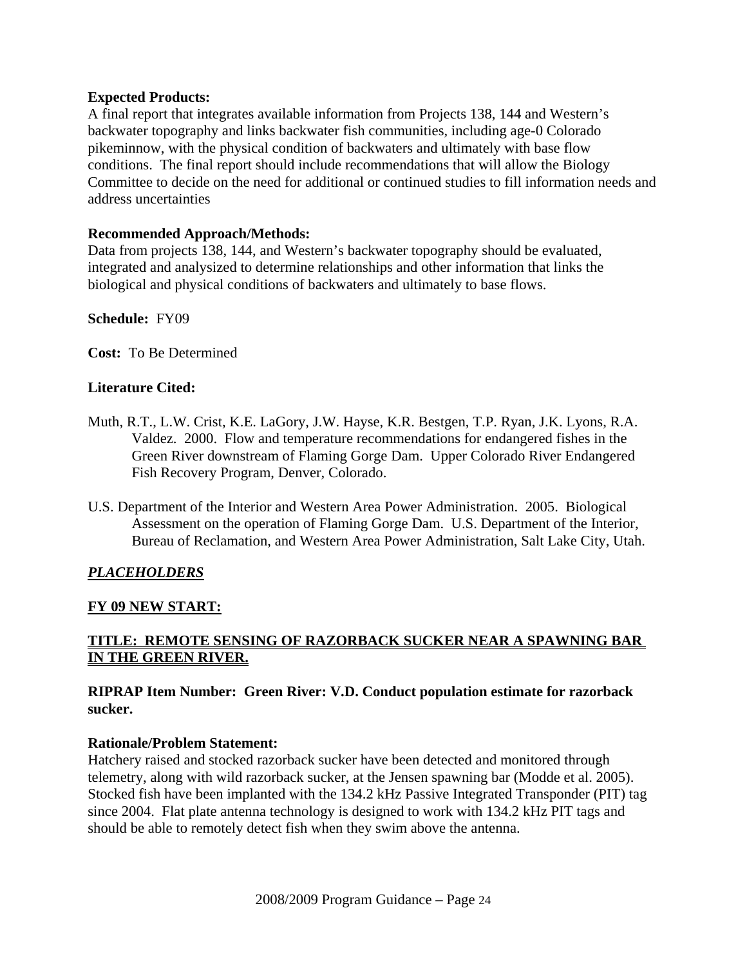#### **Expected Products:**

A final report that integrates available information from Projects 138, 144 and Western's backwater topography and links backwater fish communities, including age-0 Colorado pikeminnow, with the physical condition of backwaters and ultimately with base flow conditions. The final report should include recommendations that will allow the Biology Committee to decide on the need for additional or continued studies to fill information needs and address uncertainties

#### **Recommended Approach/Methods:**

Data from projects 138, 144, and Western's backwater topography should be evaluated, integrated and analysized to determine relationships and other information that links the biological and physical conditions of backwaters and ultimately to base flows.

#### **Schedule:** FY09

**Cost:** To Be Determined

#### **Literature Cited:**

- Muth, R.T., L.W. Crist, K.E. LaGory, J.W. Hayse, K.R. Bestgen, T.P. Ryan, J.K. Lyons, R.A. Valdez. 2000. Flow and temperature recommendations for endangered fishes in the Green River downstream of Flaming Gorge Dam. Upper Colorado River Endangered Fish Recovery Program, Denver, Colorado.
- U.S. Department of the Interior and Western Area Power Administration. 2005. Biological Assessment on the operation of Flaming Gorge Dam. U.S. Department of the Interior, Bureau of Reclamation, and Western Area Power Administration, Salt Lake City, Utah.

#### *PLACEHOLDERS*

#### **FY 09 NEW START:**

#### **TITLE: REMOTE SENSING OF RAZORBACK SUCKER NEAR A SPAWNING BAR IN THE GREEN RIVER.**

#### **RIPRAP Item Number: Green River: V.D. Conduct population estimate for razorback sucker.**

#### **Rationale/Problem Statement:**

Hatchery raised and stocked razorback sucker have been detected and monitored through telemetry, along with wild razorback sucker, at the Jensen spawning bar (Modde et al. 2005). Stocked fish have been implanted with the 134.2 kHz Passive Integrated Transponder (PIT) tag since 2004. Flat plate antenna technology is designed to work with 134.2 kHz PIT tags and should be able to remotely detect fish when they swim above the antenna.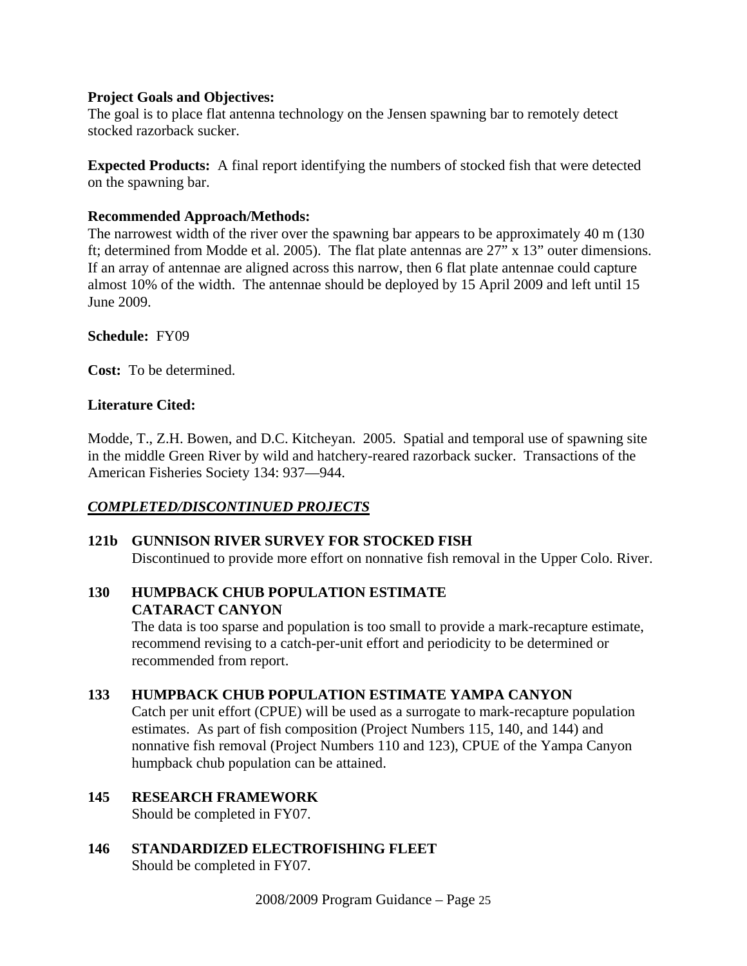#### **Project Goals and Objectives:**

The goal is to place flat antenna technology on the Jensen spawning bar to remotely detect stocked razorback sucker.

**Expected Products:** A final report identifying the numbers of stocked fish that were detected on the spawning bar.

#### **Recommended Approach/Methods:**

The narrowest width of the river over the spawning bar appears to be approximately 40 m (130 ft; determined from Modde et al. 2005). The flat plate antennas are 27" x 13" outer dimensions. If an array of antennae are aligned across this narrow, then 6 flat plate antennae could capture almost 10% of the width. The antennae should be deployed by 15 April 2009 and left until 15 June 2009.

#### **Schedule:** FY09

**Cost:** To be determined.

#### **Literature Cited:**

Modde, T., Z.H. Bowen, and D.C. Kitcheyan. 2005. Spatial and temporal use of spawning site in the middle Green River by wild and hatchery-reared razorback sucker. Transactions of the American Fisheries Society 134: 937—944.

#### *COMPLETED/DISCONTINUED PROJECTS*

# **121b GUNNISON RIVER SURVEY FOR STOCKED FISH**

Discontinued to provide more effort on nonnative fish removal in the Upper Colo. River.

#### **130 HUMPBACK CHUB POPULATION ESTIMATE CATARACT CANYON**

The data is too sparse and population is too small to provide a mark-recapture estimate, recommend revising to a catch-per-unit effort and periodicity to be determined or recommended from report.

#### **133 HUMPBACK CHUB POPULATION ESTIMATE YAMPA CANYON**

Catch per unit effort (CPUE) will be used as a surrogate to mark-recapture population estimates. As part of fish composition (Project Numbers 115, 140, and 144) and nonnative fish removal (Project Numbers 110 and 123), CPUE of the Yampa Canyon humpback chub population can be attained.

#### **145 RESEARCH FRAMEWORK**

Should be completed in FY07.

**146 STANDARDIZED ELECTROFISHING FLEET** 

Should be completed in FY07.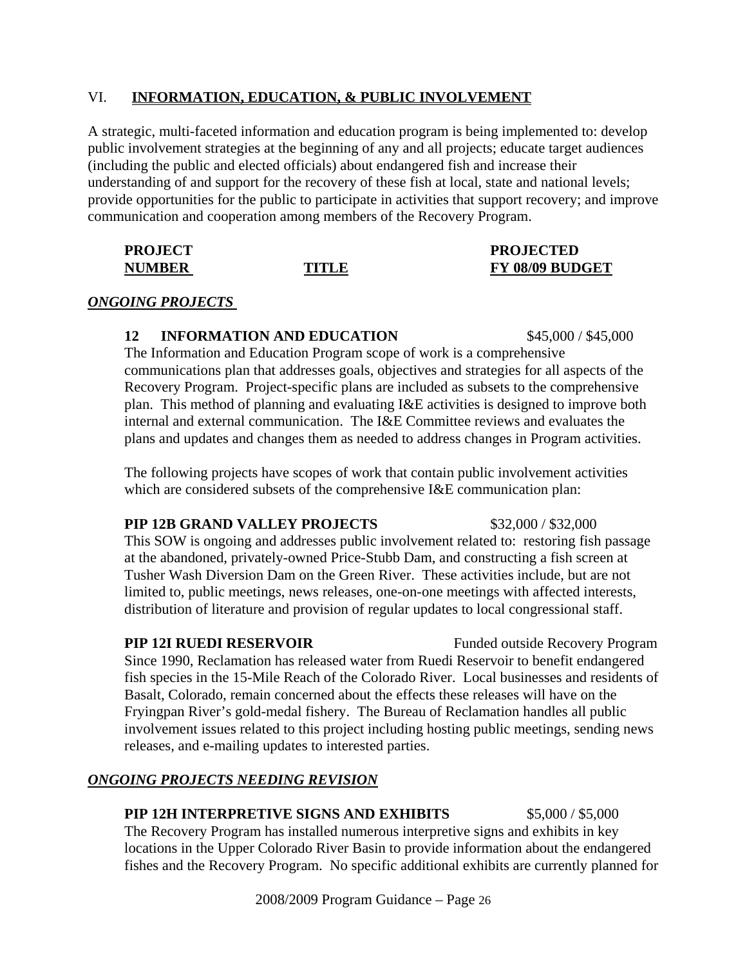#### VI. **INFORMATION, EDUCATION, & PUBLIC INVOLVEMENT**

A strategic, multi-faceted information and education program is being implemented to: develop public involvement strategies at the beginning of any and all projects; educate target audiences (including the public and elected officials) about endangered fish and increase their understanding of and support for the recovery of these fish at local, state and national levels; provide opportunities for the public to participate in activities that support recovery; and improve communication and cooperation among members of the Recovery Program.

| <b>PROJECT</b> |       | <b>PROJECTED</b> |
|----------------|-------|------------------|
| <b>NUMBER</b>  | TITLE | FY 08/09 BUDGET  |

#### *ONGOING PROJECTS*

#### **12 INFORMATION AND EDUCATION** \$45,000 / \$45,000

The Information and Education Program scope of work is a comprehensive communications plan that addresses goals, objectives and strategies for all aspects of the Recovery Program. Project-specific plans are included as subsets to the comprehensive plan. This method of planning and evaluating I&E activities is designed to improve both internal and external communication. The I&E Committee reviews and evaluates the plans and updates and changes them as needed to address changes in Program activities.

The following projects have scopes of work that contain public involvement activities which are considered subsets of the comprehensive I&E communication plan:

#### **PIP 12B GRAND VALLEY PROJECTS** \$32,000 / \$32,000

This SOW is ongoing and addresses public involvement related to: restoring fish passage at the abandoned, privately-owned Price-Stubb Dam, and constructing a fish screen at Tusher Wash Diversion Dam on the Green River. These activities include, but are not limited to, public meetings, news releases, one-on-one meetings with affected interests, distribution of literature and provision of regular updates to local congressional staff.

#### **PIP 12I RUEDI RESERVOIR** Funded outside Recovery Program

Since 1990, Reclamation has released water from Ruedi Reservoir to benefit endangered fish species in the 15-Mile Reach of the Colorado River. Local businesses and residents of Basalt, Colorado, remain concerned about the effects these releases will have on the Fryingpan River's gold-medal fishery. The Bureau of Reclamation handles all public involvement issues related to this project including hosting public meetings, sending news releases, and e-mailing updates to interested parties.

#### *ONGOING PROJECTS NEEDING REVISION*

#### **PIP 12H INTERPRETIVE SIGNS AND EXHIBITS** \$5,000 / \$5,000

The Recovery Program has installed numerous interpretive signs and exhibits in key locations in the Upper Colorado River Basin to provide information about the endangered fishes and the Recovery Program. No specific additional exhibits are currently planned for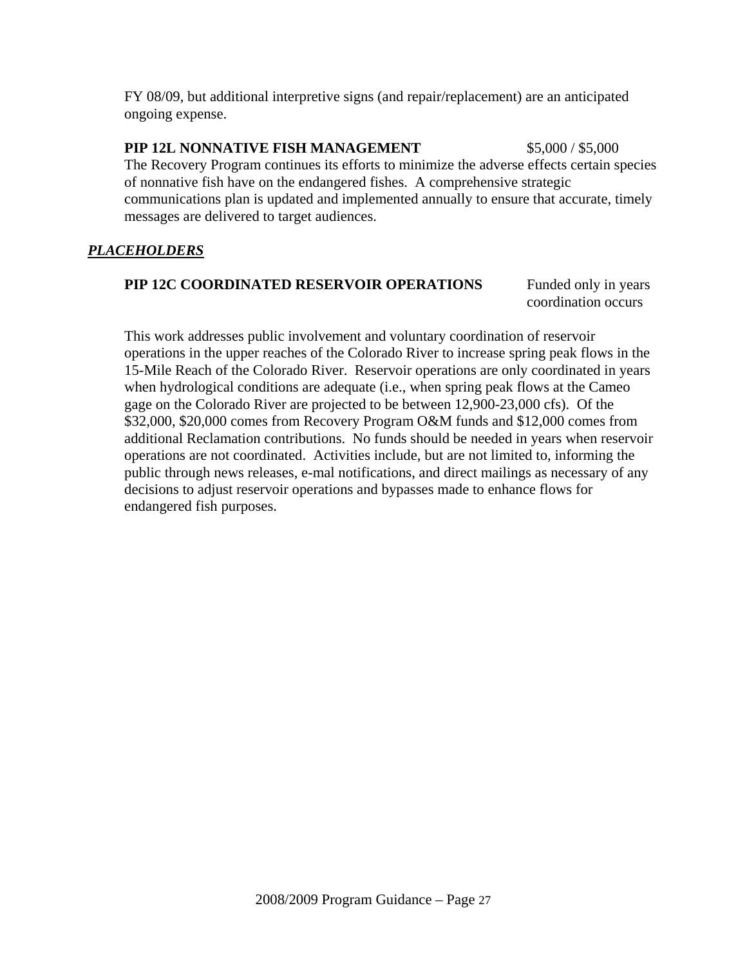FY 08/09, but additional interpretive signs (and repair/replacement) are an anticipated ongoing expense.

#### **PIP 12L NONNATIVE FISH MANAGEMENT** \$5,000 / \$5,000

The Recovery Program continues its efforts to minimize the adverse effects certain species of nonnative fish have on the endangered fishes. A comprehensive strategic communications plan is updated and implemented annually to ensure that accurate, timely messages are delivered to target audiences.

### *PLACEHOLDERS*

## **PIP 12C COORDINATED RESERVOIR OPERATIONS** Funded only in years

coordination occurs

This work addresses public involvement and voluntary coordination of reservoir operations in the upper reaches of the Colorado River to increase spring peak flows in the 15-Mile Reach of the Colorado River. Reservoir operations are only coordinated in years when hydrological conditions are adequate (i.e., when spring peak flows at the Cameo gage on the Colorado River are projected to be between 12,900-23,000 cfs). Of the \$32,000, \$20,000 comes from Recovery Program O&M funds and \$12,000 comes from additional Reclamation contributions. No funds should be needed in years when reservoir operations are not coordinated. Activities include, but are not limited to, informing the public through news releases, e-mal notifications, and direct mailings as necessary of any decisions to adjust reservoir operations and bypasses made to enhance flows for endangered fish purposes.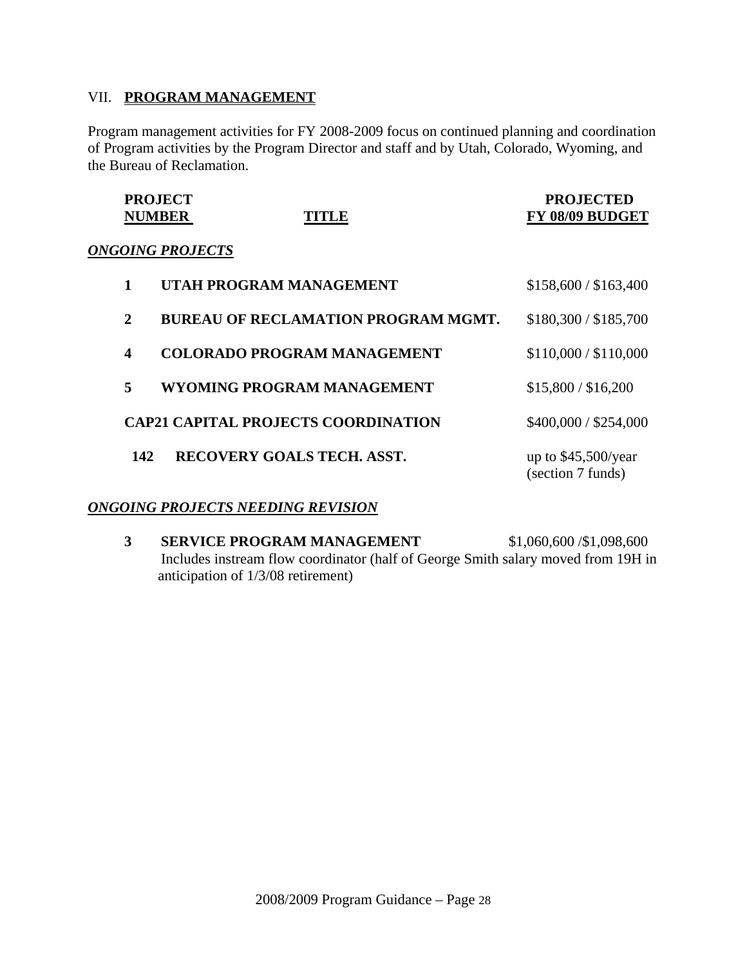#### VII. **PROGRAM MANAGEMENT**

Program management activities for FY 2008-2009 focus on continued planning and coordination of Program activities by the Program Director and staff and by Utah, Colorado, Wyoming, and the Bureau of Reclamation.

| <b>PROJECT</b><br><b>NUMBER</b> | <b>TITLE</b>                               | <b>PROJECTED</b><br>FY 08/09 BUDGET       |
|---------------------------------|--------------------------------------------|-------------------------------------------|
|                                 | <b>ONGOING PROJECTS</b>                    |                                           |
| 1                               | UTAH PROGRAM MANAGEMENT                    | \$158,600 / \$163,400                     |
| $\overline{2}$                  | <b>BUREAU OF RECLAMATION PROGRAM MGMT.</b> | \$180,300 / \$185,700                     |
| $\boldsymbol{4}$                | <b>COLORADO PROGRAM MANAGEMENT</b>         | \$110,000 / \$110,000                     |
| 5                               | WYOMING PROGRAM MANAGEMENT                 | \$15,800 / \$16,200                       |
|                                 | <b>CAP21 CAPITAL PROJECTS COORDINATION</b> | \$400,000 / \$254,000                     |
| 142                             | <b>RECOVERY GOALS TECH. ASST.</b>          | up to $$45,500/year$<br>(section 7 funds) |

#### *ONGOING PROJECTS NEEDING REVISION*

**3 SERVICE PROGRAM MANAGEMENT** \$1,060,600 /\$1,098,600 Includes instream flow coordinator (half of George Smith salary moved from 19H in anticipation of 1/3/08 retirement)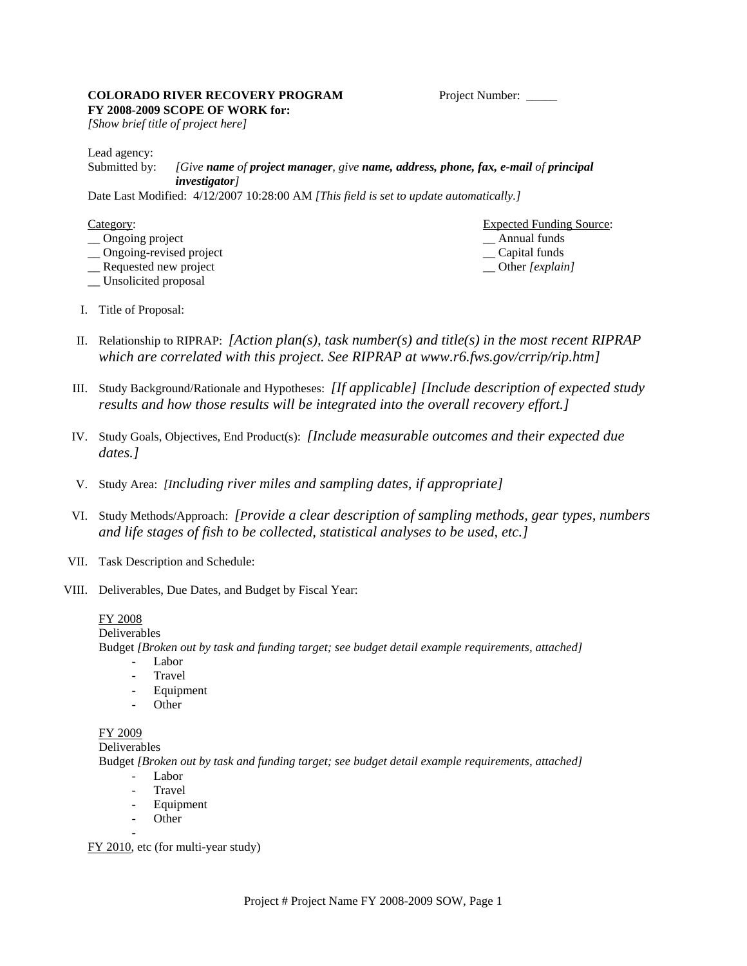#### **COLORADO RIVER RECOVERY PROGRAM** Project Number: **FY 2008-2009 SCOPE OF WORK for:**

*[Show brief title of project here]* 

Lead agency:

Submitted by: *[Give name of project manager, give name, address, phone, fax, e-mail of principal investigator]*

Date Last Modified: 4/12/2007 10:28:00 AM *[This field is set to update automatically.]* 

| ategor: |  |
|---------|--|
|         |  |

- $\Box$  Ongoing project
- \_\_ Ongoing-revised project \_\_ Capital funds
- \_\_ Requested new project \_\_ Other *[explain]*
- \_\_ Unsolicited proposal

Expected Funding Source:<br>
— Annual funds

- I. Title of Proposal:
- II. Relationship to RIPRAP: *[Action plan(s), task number(s) and title(s) in the most recent RIPRAP which are correlated with this project. See RIPRAP at www.r6.fws.gov/crrip/rip.htm]*
- III. Study Background/Rationale and Hypotheses: *[If applicable] [Include description of expected study results and how those results will be integrated into the overall recovery effort.]*
- IV. Study Goals, Objectives, End Product(s): *[Include measurable outcomes and their expected due dates.]*
- V. Study Area: *[Including river miles and sampling dates, if appropriate]*
- VI. Study Methods/Approach: *[Provide a clear description of sampling methods, gear types, numbers and life stages of fish to be collected, statistical analyses to be used, etc.]*
- VII. Task Description and Schedule:
- VIII. Deliverables, Due Dates, and Budget by Fiscal Year:

#### FY 2008

Deliverables Budget *[Broken out by task and funding target; see budget detail example requirements, attached]*

- Labor
- **Travel**
- Equipment
- **Other**

#### FY 2009

Deliverables

Budget *[Broken out by task and funding target; see budget detail example requirements, attached]*

- Labor
- **Travel**
- Equipment
- Other -

FY 2010, etc (for multi-year study)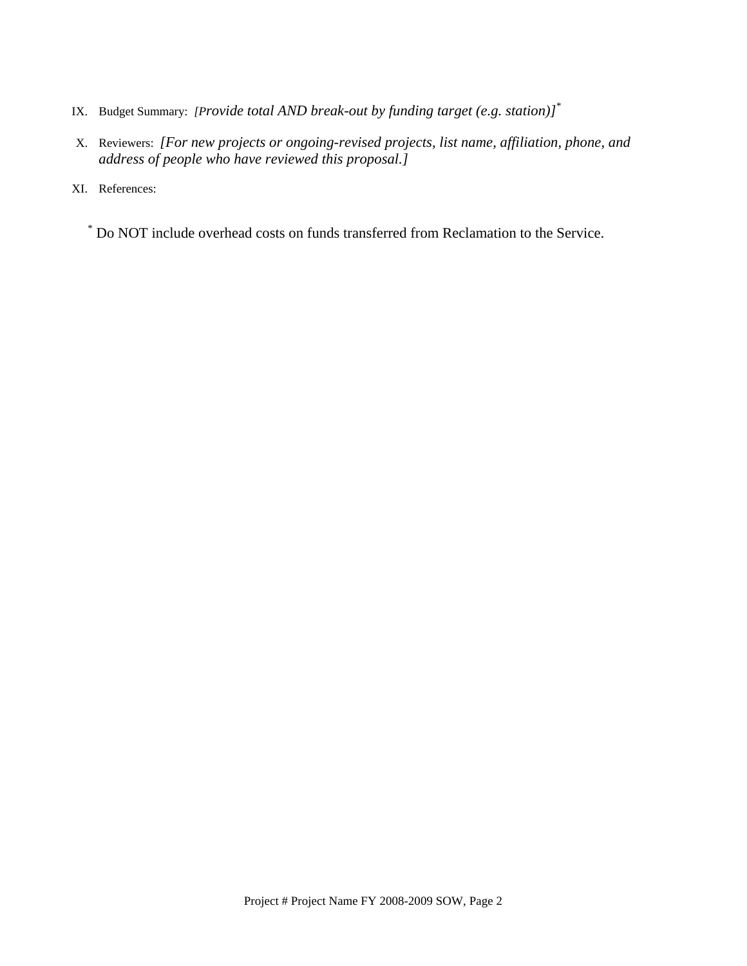- IX. Budget Summary: *[Provide total AND break-out by funding target (e.g. station)]*\*
- X. Reviewers: *[For new projects or ongoing-revised projects, list name, affiliation, phone, and address of people who have reviewed this proposal.]*

XI. References:

\* Do NOT include overhead costs on funds transferred from Reclamation to the Service.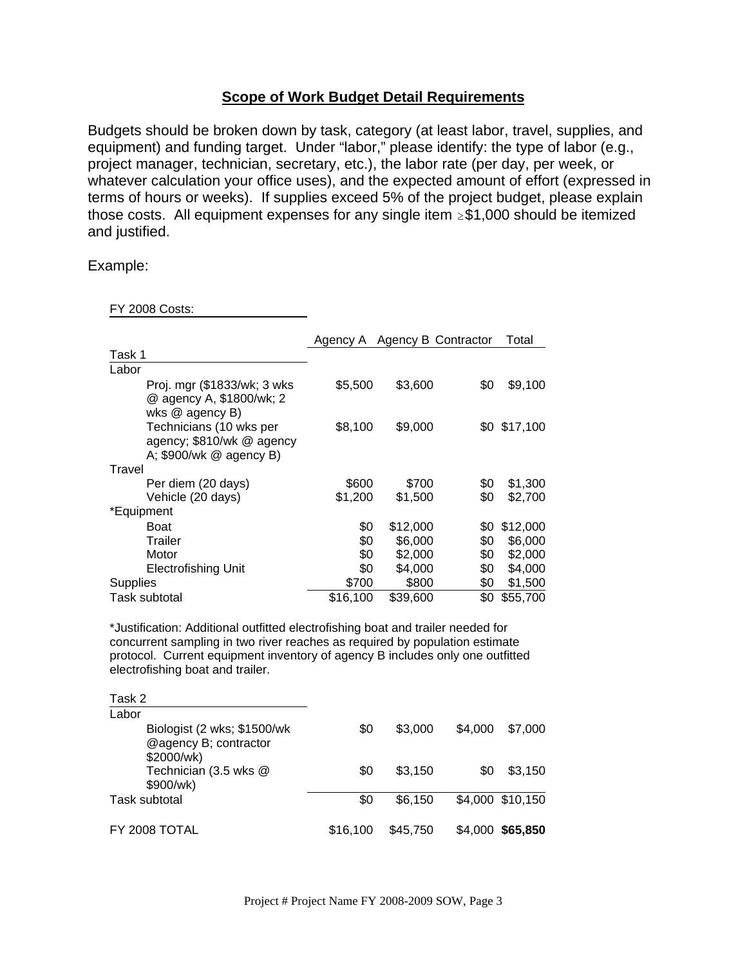#### **Scope of Work Budget Detail Requirements**

Budgets should be broken down by task, category (at least labor, travel, supplies, and equipment) and funding target. Under "labor," please identify: the type of labor (e.g., project manager, technician, secretary, etc.), the labor rate (per day, per week, or whatever calculation your office uses), and the expected amount of effort (expressed in terms of hours or weeks). If supplies exceed 5% of the project budget, please explain those costs. All equipment expenses for any single item  $\geq$ \$1,000 should be itemized and justified.

Example:

FY 2008 Costs:

|                                                                                 |          | Agency A Agency B Contractor |     | Total        |
|---------------------------------------------------------------------------------|----------|------------------------------|-----|--------------|
| Task 1                                                                          |          |                              |     |              |
| Labor                                                                           |          |                              |     |              |
| Proj. mgr (\$1833/wk; 3 wks)<br>@ agency A, \$1800/wk; 2<br>wks @ agency B)     | \$5,500  | \$3,600                      | \$0 | \$9,100      |
| Technicians (10 wks per<br>agency; \$810/wk @ agency<br>A: \$900/wk @ agency B) | \$8,100  | \$9,000                      |     | \$0 \$17,100 |
| Travel                                                                          |          |                              |     |              |
| Per diem (20 days)                                                              | \$600    | \$700                        | \$0 | \$1,300      |
| Vehicle (20 days)                                                               | \$1,200  | \$1,500                      | \$0 | \$2,700      |
| *Equipment                                                                      |          |                              |     |              |
| Boat                                                                            | \$0      | \$12,000                     | \$0 | \$12,000     |
| Trailer                                                                         | \$0      | \$6,000                      | \$0 | \$6,000      |
| Motor                                                                           | \$0      | \$2,000                      | \$0 | \$2,000      |
| <b>Electrofishing Unit</b>                                                      | \$0      | \$4,000                      | \$0 | \$4,000      |
| <b>Supplies</b>                                                                 | \$700    | \$800                        | \$0 | \$1,500      |
| Task subtotal                                                                   | \$16,100 | \$39,600                     | \$0 | \$55,700     |

\*Justification: Additional outfitted electrofishing boat and trailer needed for concurrent sampling in two river reaches as required by population estimate protocol. Current equipment inventory of agency B includes only one outfitted electrofishing boat and trailer.

| Task 2                                                             |          |          |         |                  |
|--------------------------------------------------------------------|----------|----------|---------|------------------|
| Labor                                                              |          |          |         |                  |
| Biologist (2 wks; \$1500/wk<br>@agency B; contractor<br>\$2000/wk) | \$0      | \$3,000  | \$4.000 | \$7,000          |
| Technician (3.5 wks @<br>\$900/wk)                                 | \$0      | \$3.150  | \$0     | \$3,150          |
| Task subtotal                                                      | \$0      | \$6,150  |         | \$4,000 \$10,150 |
| FY 2008 TOTAL                                                      | \$16.100 | \$45.750 | \$4,000 | \$65,850         |